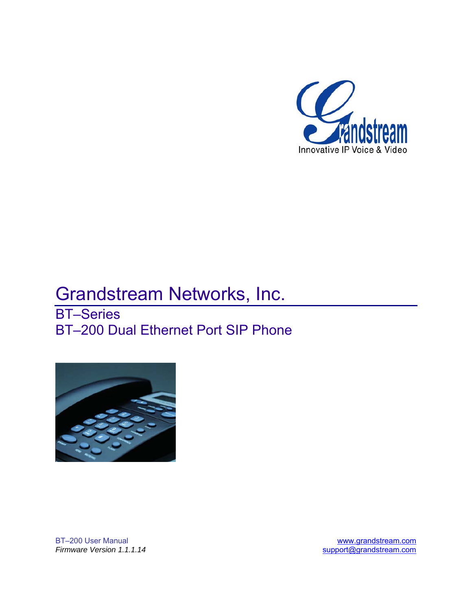

# Grandstream Networks, Inc.

BT–Series BT–200 Dual Ethernet Port SIP Phone



BT–200 User Manual [www.grandstream.com](http://www.grandstream.com/)

*Firmware Version 1.1.1.14* [support@grandstream.com](mailto:support@grandstream.com)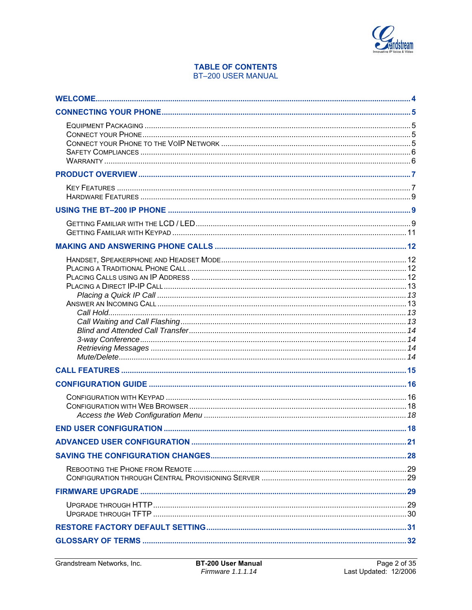

# **TABLE OF CONTENTS BT-200 USER MANUAL**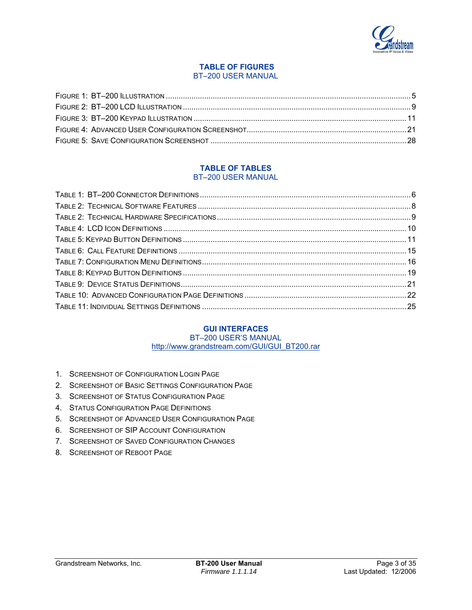

#### **TABLE OF FIGURES**  BT–200 USER MANUAL

#### **TABLE OF TABLES**  BT–200 USER MANUAL

# **GUI INTERFACES**

# BT–200 USER'S MANUAL

http://www.grandstream.com/GUI/GUI\_BT200.rar

- 1. SCREENSHOT OF CONFIGURATION LOGIN PAGE
- 2. SCREENSHOT OF BASIC SETTINGS CONFIGURATION PAGE
- 3. SCREENSHOT OF STATUS CONFIGURATION PAGE
- 4. STATUS CONFIGURATION PAGE DEFINITIONS
- 5. SCREENSHOT OF ADVANCED USER CONFIGURATION PAGE
- 6. SCREENSHOT OF SIP ACCOUNT CONFIGURATION
- 7. SCREENSHOT OF SAVED CONFIGURATION CHANGES
- 8. SCREENSHOT OF REBOOT PAGE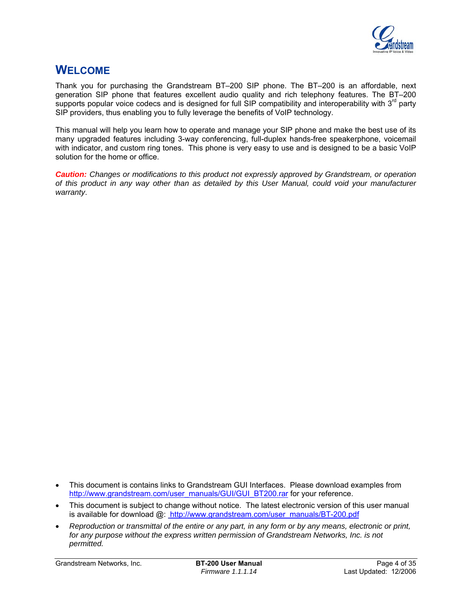

# <span id="page-3-0"></span>**WELCOME**

Thank you for purchasing the Grandstream BT–200 SIP phone. The BT–200 is an affordable, next generation SIP phone that features excellent audio quality and rich telephony features. The BT–200 supports popular voice codecs and is designed for full SIP compatibility and interoperability with  $3<sup>rd</sup>$  party SIP providers, thus enabling you to fully leverage the benefits of VoIP technology.

This manual will help you learn how to operate and manage your SIP phone and make the best use of its many upgraded features including 3-way conferencing, full-duplex hands-free speakerphone, voicemail with indicator, and custom ring tones. This phone is very easy to use and is designed to be a basic VoIP solution for the home or office.

*Caution: Changes or modifications to this product not expressly approved by Grandstream, or operation of this product in any way other than as detailed by this User Manual, could void your manufacturer warranty*.

- This document is subject to change without notice. The latest electronic version of this user manual is available for download @: http://www.grandstream.com/user\_manuals/BT-200.pdf
- *Reproduction or transmittal of the entire or any part, in any form or by any means, electronic or print,*  for any purpose without the express written permission of Grandstream Networks, Inc. is not *permitted.*

Grandstream Networks, Inc. **BT-200 User Manual** Page 4 of 35

<sup>•</sup> This document is contains links to Grandstream GUI Interfaces. Please download examples from [http://www.grandstream.com/user\\_manuals/GUI/GUI\\_BT200.rar](http://www.grandstream.com/user_manuals/GUI/GUI_BT200.rar) for your reference.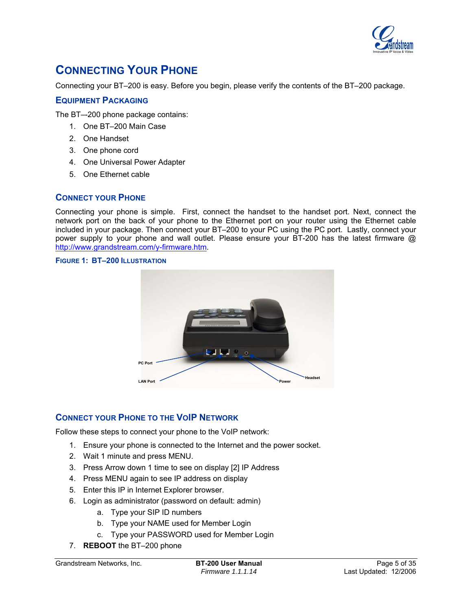

# <span id="page-4-0"></span>**CONNECTING YOUR PHONE**

Connecting your BT–200 is easy. Before you begin, please verify the contents of the BT–200 package.

# **EQUIPMENT PACKAGING**

The BT–-200 phone package contains:

- 1. One BT–200 Main Case
- 2. One Handset
- 3. One phone cord
- 4. One Universal Power Adapter
- 5. One Ethernet cable

# **CONNECT YOUR PHONE**

Connecting your phone is simple. First, connect the handset to the handset port. Next, connect the network port on the back of your phone to the Ethernet port on your router using the Ethernet cable included in your package. Then connect your BT–200 to your PC using the PC port. Lastly, connect your power supply to your phone and wall outlet. Please ensure your BT-200 has the latest firmware @ <http://www.grandstream.com/y-firmware.htm>.

# **FIGURE 1: BT–200 ILLUSTRATION**



# **CONNECT YOUR PHONE TO THE VOIP NETWORK**

Follow these steps to connect your phone to the VoIP network:

- 1. Ensure your phone is connected to the Internet and the power socket.
- 2. Wait 1 minute and press MENU.
- 3. Press Arrow down 1 time to see on display [2] IP Address
- 4. Press MENU again to see IP address on display
- 5. Enter this IP in Internet Explorer browser.
- 6. Login as administrator (password on default: admin)
	- a. Type your SIP ID numbers
	- b. Type your NAME used for Member Login
	- c. Type your PASSWORD used for Member Login
- 7. **REBOOT** the BT–200 phone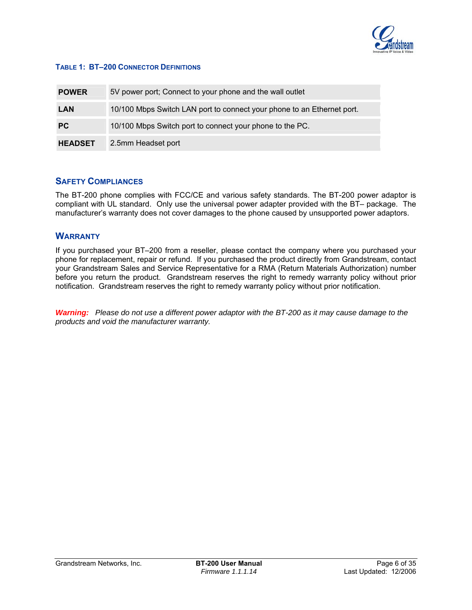

#### <span id="page-5-0"></span>**TABLE 1: BT–200 CONNECTOR DEFINITIONS**

| <b>POWER</b>   | 5V power port; Connect to your phone and the wall outlet               |
|----------------|------------------------------------------------------------------------|
| <b>LAN</b>     | 10/100 Mbps Switch LAN port to connect your phone to an Ethernet port. |
| <b>PC</b>      | 10/100 Mbps Switch port to connect your phone to the PC.               |
| <b>HEADSET</b> | 2.5mm Headset port                                                     |

# **SAFETY COMPLIANCES**

The BT-200 phone complies with FCC/CE and various safety standards. The BT-200 power adaptor is compliant with UL standard. Only use the universal power adapter provided with the BT– package. The manufacturer's warranty does not cover damages to the phone caused by unsupported power adaptors.

# **WARRANTY**

If you purchased your BT–200 from a reseller, please contact the company where you purchased your phone for replacement, repair or refund. If you purchased the product directly from Grandstream, contact your Grandstream Sales and Service Representative for a RMA (Return Materials Authorization) number before you return the product. Grandstream reserves the right to remedy warranty policy without prior notification. Grandstream reserves the right to remedy warranty policy without prior notification.

*Warning: Please do not use a different power adaptor with the BT-200 as it may cause damage to the products and void the manufacturer warranty.*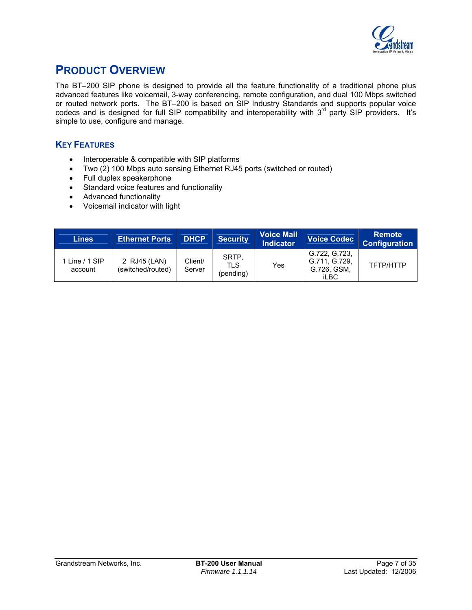

# <span id="page-6-0"></span>**PRODUCT OVERVIEW**

The BT–200 SIP phone is designed to provide all the feature functionality of a traditional phone plus advanced features like voicemail, 3-way conferencing, remote configuration, and dual 100 Mbps switched or routed network ports. The BT–200 is based on SIP Industry Standards and supports popular voice codecs and is designed for full SIP compatibility and interoperability with 3<sup>rd</sup> party SIP providers. It's simple to use, configure and manage.

# **KEY FEATURES**

- Interoperable & compatible with SIP platforms
- Two (2) 100 Mbps auto sensing Ethernet RJ45 ports (switched or routed)
- Full duplex speakerphone
- Standard voice features and functionality
- Advanced functionality
- Voicemail indicator with light

| <b>Lines</b>              | <b>Ethernet Ports</b>             | <b>DHCP</b>       | <b>Security</b>           | <b>Voice Mail</b><br><b>Indicator</b> | <b>Voice Codec</b>                                           | <b>Remote</b><br><b>Configuration</b> |
|---------------------------|-----------------------------------|-------------------|---------------------------|---------------------------------------|--------------------------------------------------------------|---------------------------------------|
| Line $/ 1$ SIP<br>account | 2 RJ45 (LAN)<br>(switched/routed) | Client/<br>Server | SRTP.<br>TLS<br>(pending) | Yes                                   | G.722, G.723.<br>G.711, G.729,<br>G.726, GSM,<br><b>iLBC</b> | TFTP/HTTP                             |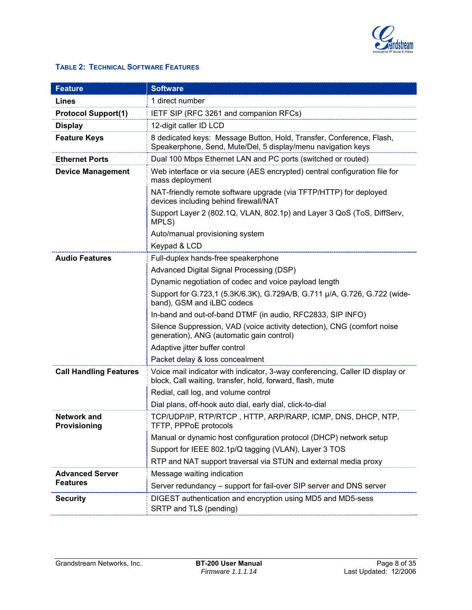

# <span id="page-7-0"></span>**TABLE 2: TECHNICAL SOFTWARE FEATURES**

| <b>Feature</b>                     | <b>Software</b>                                                                                                                            |  |  |
|------------------------------------|--------------------------------------------------------------------------------------------------------------------------------------------|--|--|
| Lines                              | 1 direct number                                                                                                                            |  |  |
| <b>Protocol Support(1)</b>         | IETF SIP (RFC 3261 and companion RFCs)                                                                                                     |  |  |
| <b>Display</b>                     | 12-digit caller ID LCD                                                                                                                     |  |  |
| <b>Feature Keys</b>                | 8 dedicated keys: Message Button, Hold, Transfer, Conference, Flash,<br>Speakerphone, Send, Mute/Del, 5 display/menu navigation keys       |  |  |
| <b>Ethernet Ports</b>              | Dual 100 Mbps Ethernet LAN and PC ports (switched or routed)                                                                               |  |  |
| <b>Device Management</b>           | Web interface or via secure (AES encrypted) central configuration file for<br>mass deployment                                              |  |  |
|                                    | NAT-friendly remote software upgrade (via TFTP/HTTP) for deployed<br>devices including behind firewall/NAT                                 |  |  |
|                                    | Support Layer 2 (802.1Q, VLAN, 802.1p) and Layer 3 QoS (ToS, DiffServ,<br>MPLS)                                                            |  |  |
|                                    | Auto/manual provisioning system                                                                                                            |  |  |
|                                    | Keypad & LCD                                                                                                                               |  |  |
| <b>Audio Features</b>              | Full-duplex hands-free speakerphone                                                                                                        |  |  |
|                                    | Advanced Digital Signal Processing (DSP)                                                                                                   |  |  |
|                                    | Dynamic negotiation of codec and voice payload length                                                                                      |  |  |
|                                    | Support for G.723,1 (5.3K/6.3K), G.729A/B, G.711 µ/A, G.726, G.722 (wide-<br>band), GSM and iLBC codecs                                    |  |  |
|                                    | In-band and out-of-band DTMF (in audio, RFC2833, SIP INFO)                                                                                 |  |  |
|                                    | Silence Suppression, VAD (voice activity detection), CNG (comfort noise<br>generation), ANG (automatic gain control)                       |  |  |
|                                    | Adaptive jitter buffer control                                                                                                             |  |  |
|                                    | Packet delay & loss concealment                                                                                                            |  |  |
| <b>Call Handling Features</b>      | Voice mail indicator with indicator, 3-way conferencing, Caller ID display or<br>block, Call waiting, transfer, hold, forward, flash, mute |  |  |
|                                    | Redial, call log, and volume control                                                                                                       |  |  |
|                                    | Dial plans, off-hook auto dial, early dial, click-to-dial                                                                                  |  |  |
| <b>Network and</b><br>Provisioning | TCP/UDP/IP, RTP/RTCP, HTTP, ARP/RARP, ICMP, DNS, DHCP, NTP,<br>TFTP, PPPoE protocols                                                       |  |  |
|                                    | Manual or dynamic host configuration protocol (DHCP) network setup                                                                         |  |  |
|                                    | Support for IEEE 802.1p/Q tagging (VLAN), Layer 3 TOS                                                                                      |  |  |
|                                    | RTP and NAT support traversal via STUN and external media proxy                                                                            |  |  |
| <b>Advanced Server</b>             | Message waiting indication                                                                                                                 |  |  |
| <b>Features</b>                    | Server redundancy – support for fail-over SIP server and DNS server                                                                        |  |  |
| <b>Security</b>                    | DIGEST authentication and encryption using MD5 and MD5-sess<br>SRTP and TLS (pending)                                                      |  |  |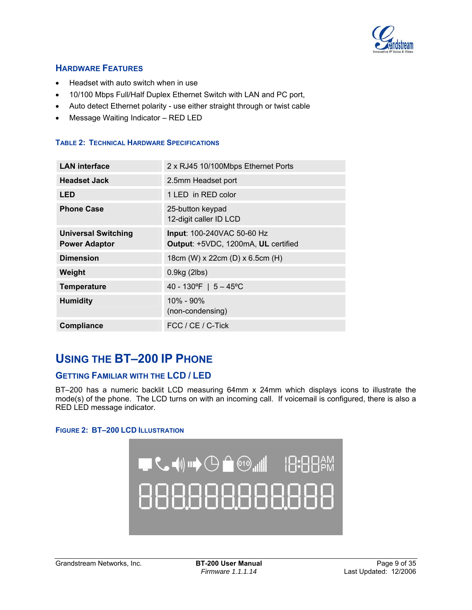

# <span id="page-8-0"></span>**HARDWARE FEATURES**

- Headset with auto switch when in use
- 10/100 Mbps Full/Half Duplex Ethernet Switch with LAN and PC port,
- Auto detect Ethernet polarity use either straight through or twist cable
- Message Waiting Indicator RED LED

#### **TABLE 2: TECHNICAL HARDWARE SPECIFICATIONS**

| <b>LAN</b> interface                               | 2 x RJ45 10/100Mbps Ethernet Ports                                |
|----------------------------------------------------|-------------------------------------------------------------------|
| <b>Headset Jack</b>                                | 2.5mm Headset port                                                |
| <b>LED</b>                                         | 1 LED in RED color                                                |
| <b>Phone Case</b>                                  | 25-button keypad<br>12-digit caller ID LCD                        |
| <b>Universal Switching</b><br><b>Power Adaptor</b> | Input: 100-240VAC 50-60 Hz<br>Output: +5VDC, 1200mA, UL certified |
| <b>Dimension</b>                                   | 18cm (W) x 22cm (D) x 6.5cm (H)                                   |
| Weight                                             | $0.9$ kg $(2$ lbs $)$                                             |
| <b>Temperature</b>                                 | 40 - 130°F   $5 - 45$ °C                                          |
| <b>Humidity</b>                                    | $10\% - 90\%$<br>(non-condensing)                                 |
| <b>Compliance</b>                                  | FCC / CE / C-Tick                                                 |

# **USING THE BT–200 IP PHONE**

# **GETTING FAMILIAR WITH THE LCD / LED**

BT–200 has a numeric backlit LCD measuring 64mm x 24mm which displays icons to illustrate the mode(s) of the phone. The LCD turns on with an incoming call. If voicemail is configured, there is also a RED LED message indicator.

#### **FIGURE 2: BT–200 LCD ILLUSTRATION**

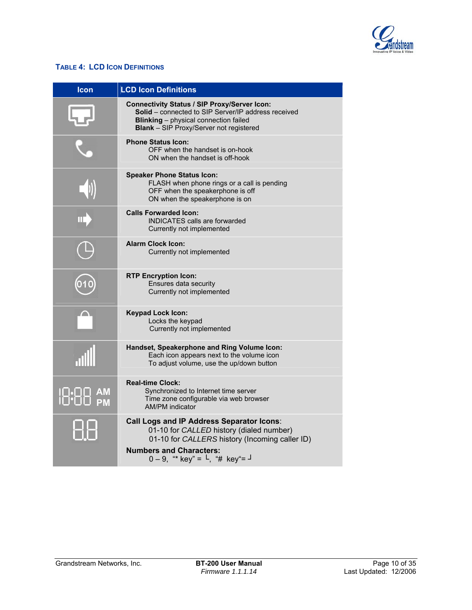

# <span id="page-9-0"></span>**TABLE 4: LCD ICON DEFINITIONS**

| <b>Icon</b> | <b>LCD Icon Definitions</b>                                                                                                                                                                                  |
|-------------|--------------------------------------------------------------------------------------------------------------------------------------------------------------------------------------------------------------|
|             | <b>Connectivity Status / SIP Proxy/Server Icon:</b><br>Solid - connected to SIP Server/IP address received<br><b>Blinking</b> - physical connection failed<br><b>Blank</b> - SIP Proxy/Server not registered |
|             | <b>Phone Status Icon:</b><br>OFF when the handset is on-hook<br>ON when the handset is off-hook                                                                                                              |
|             | <b>Speaker Phone Status Icon:</b><br>FLASH when phone rings or a call is pending<br>OFF when the speakerphone is off<br>ON when the speakerphone is on                                                       |
|             | <b>Calls Forwarded Icon:</b><br><b>INDICATES calls are forwarded</b><br>Currently not implemented                                                                                                            |
|             | <b>Alarm Clock Icon:</b><br>Currently not implemented                                                                                                                                                        |
|             | <b>RTP Encryption Icon:</b><br>Ensures data security<br>Currently not implemented                                                                                                                            |
|             | <b>Keypad Lock Icon:</b><br>Locks the keypad<br>Currently not implemented                                                                                                                                    |
|             | Handset, Speakerphone and Ring Volume Icon:<br>Each icon appears next to the volume icon<br>To adjust volume, use the up/down button                                                                         |
|             | <b>Real-time Clock:</b><br>Synchronized to Internet time server<br>Time zone configurable via web browser<br><b>AM/PM</b> indicator                                                                          |
|             | <b>Call Logs and IP Address Separator Icons:</b><br>01-10 for CALLED history (dialed number)<br>01-10 for CALLERS history (Incoming caller ID)                                                               |
|             | <b>Numbers and Characters:</b><br>$0 - 9$ , "* key" = $\vdash$ , "# key" = $\vdash$                                                                                                                          |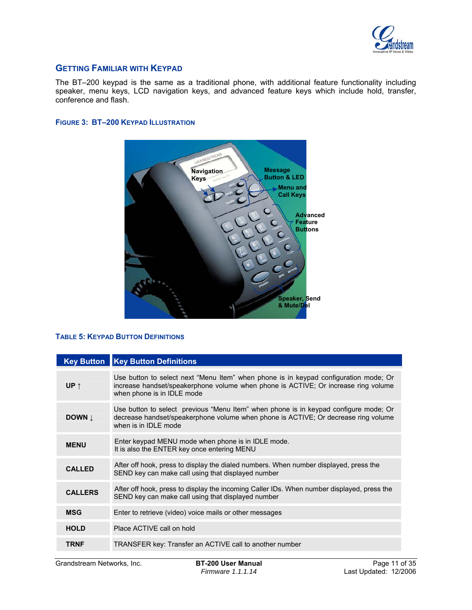

# <span id="page-10-0"></span>**GETTING FAMILIAR WITH KEYPAD**

The BT–200 keypad is the same as a traditional phone, with additional feature functionality including speaker, menu keys, LCD navigation keys, and advanced feature keys which include hold, transfer, conference and flash.

#### **FIGURE 3: BT–200 KEYPAD ILLUSTRATION**



# **TABLE 5: KEYPAD BUTTON DEFINITIONS**

|                | <b>Key Button Key Button Definitions</b>                                                                                                                                                                 |
|----------------|----------------------------------------------------------------------------------------------------------------------------------------------------------------------------------------------------------|
| UP $\uparrow$  | Use button to select next "Menu Item" when phone is in keypad configuration mode; Or<br>increase handset/speakerphone volume when phone is ACTIVE; Or increase ring volume<br>when phone is in IDLE mode |
| DOWN <b>L</b>  | Use button to select previous "Menu Item" when phone is in keypad configure mode; Or<br>decrease handset/speakerphone volume when phone is ACTIVE; Or decrease ring volume<br>when is in IDLE mode       |
| <b>MENU</b>    | Enter keypad MENU mode when phone is in IDLE mode.<br>It is also the ENTER key once entering MENU                                                                                                        |
| <b>CALLED</b>  | After off hook, press to display the dialed numbers. When number displayed, press the<br>SEND key can make call using that displayed number                                                              |
| <b>CALLERS</b> | After off hook, press to display the incoming Caller IDs. When number displayed, press the<br>SEND key can make call using that displayed number                                                         |
| <b>MSG</b>     | Enter to retrieve (video) voice mails or other messages                                                                                                                                                  |
| <b>HOLD</b>    | Place ACTIVE call on hold                                                                                                                                                                                |
| <b>TRNF</b>    | TRANSFER key: Transfer an ACTIVE call to another number                                                                                                                                                  |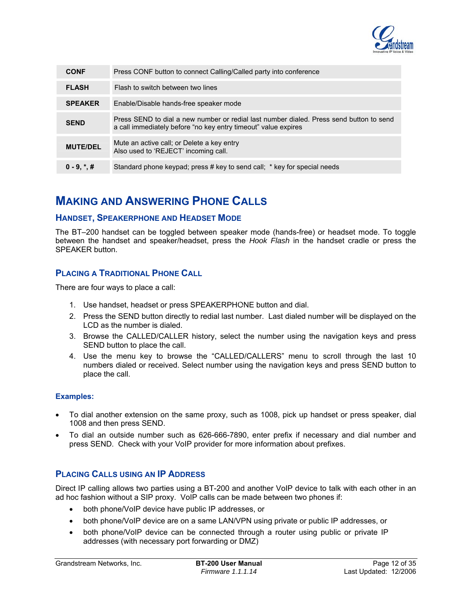

<span id="page-11-0"></span>

| <b>CONF</b>     | Press CONF button to connect Calling/Called party into conference                                                                                         |
|-----------------|-----------------------------------------------------------------------------------------------------------------------------------------------------------|
| <b>FLASH</b>    | Flash to switch between two lines                                                                                                                         |
| <b>SPEAKER</b>  | Enable/Disable hands-free speaker mode                                                                                                                    |
| <b>SEND</b>     | Press SEND to dial a new number or redial last number dialed. Press send button to send<br>a call immediately before "no key entry timeout" value expires |
| <b>MUTE/DEL</b> | Mute an active call; or Delete a key entry<br>Also used to 'REJECT' incoming call.                                                                        |
| $0 - 9, *, #$   | Standard phone keypad; press # key to send call; * key for special needs                                                                                  |

# **MAKING AND ANSWERING PHONE CALLS**

# **HANDSET, SPEAKERPHONE AND HEADSET MODE**

The BT–200 handset can be toggled between speaker mode (hands-free) or headset mode. To toggle between the handset and speaker/headset, press the *Hook Flash* in the handset cradle or press the SPEAKER button.

# **PLACING A TRADITIONAL PHONE CALL**

There are four ways to place a call:

- 1. Use handset, headset or press SPEAKERPHONE button and dial.
- 2. Press the SEND button directly to redial last number. Last dialed number will be displayed on the LCD as the number is dialed.
- 3. Browse the CALLED/CALLER history, select the number using the navigation keys and press SEND button to place the call.
- 4. Use the menu key to browse the "CALLED/CALLERS" menu to scroll through the last 10 numbers dialed or received. Select number using the navigation keys and press SEND button to place the call.

# **Examples:**

- To dial another extension on the same proxy, such as 1008, pick up handset or press speaker, dial 1008 and then press SEND.
- To dial an outside number such as 626-666-7890, enter prefix if necessary and dial number and press SEND. Check with your VoIP provider for more information about prefixes.

# **PLACING CALLS USING AN IP ADDRESS**

Direct IP calling allows two parties using a BT-200 and another VoIP device to talk with each other in an ad hoc fashion without a SIP proxy. VoIP calls can be made between two phones if:

- both phone/VoIP device have public IP addresses, or
- both phone/VoIP device are on a same LAN/VPN using private or public IP addresses, or
- both phone/VoIP device can be connected through a router using public or private IP addresses (with necessary port forwarding or DMZ)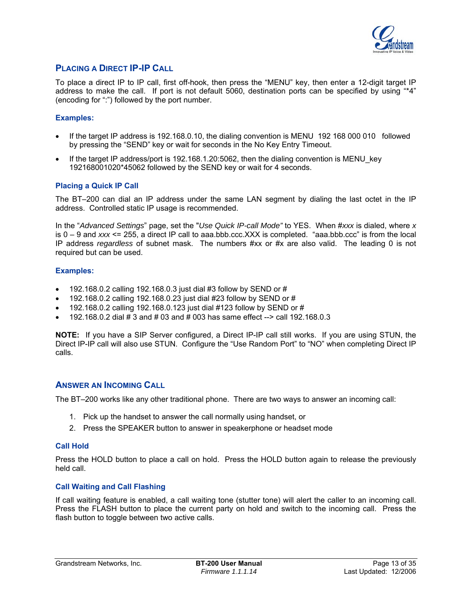

# <span id="page-12-0"></span>**PLACING A DIRECT IP-IP CALL**

To place a direct IP to IP call, first off-hook, then press the "MENU" key, then enter a 12-digit target IP address to make the call. If port is not default 5060, destination ports can be specified by using "\*4" (encoding for ":") followed by the port number.

# **Examples:**

- If the target IP address is 192.168.0.10, the dialing convention is MENU 192 168 000 010 followed by pressing the "SEND" key or wait for seconds in the No Key Entry Timeout.
- If the target IP address/port is 192.168.1.20:5062, then the dialing convention is MENU key 192168001020\*45062 followed by the SEND key or wait for 4 seconds.

# **Placing a Quick IP Call**

The BT–200 can dial an IP address under the same LAN segment by dialing the last octet in the IP address. Controlled static IP usage is recommended.

In the "*Advanced Settings*" page, set the "*Use Quick IP-call Mode"* to YES. When #*xxx* is dialed, where *x*  is 0 – 9 and *xxx* <= 255, a direct IP call to aaa.bbb.ccc.XXX is completed. "aaa.bbb.ccc" is from the local IP address *regardless* of subnet mask. The numbers #xx or #x are also valid. The leading 0 is not required but can be used.

#### **Examples:**

- 192.168.0.2 calling 192.168.0.3 just dial #3 follow by SEND or #
- 192.168.0.2 calling 192.168.0.23 just dial #23 follow by SEND or #
- 192.168.0.2 calling 192.168.0.123 just dial #123 follow by SEND or #
- 192.168.0.2 dial # 3 and # 03 and # 003 has same effect --> call 192.168.0.3

**NOTE:** If you have a SIP Server configured, a Direct IP-IP call still works. If you are using STUN, the Direct IP-IP call will also use STUN. Configure the "Use Random Port" to "NO" when completing Direct IP calls.

# **ANSWER AN INCOMING CALL**

The BT–200 works like any other traditional phone. There are two ways to answer an incoming call:

- 1. Pick up the handset to answer the call normally using handset, or
- 2. Press the SPEAKER button to answer in speakerphone or headset mode

#### **Call Hold**

Press the HOLD button to place a call on hold. Press the HOLD button again to release the previously held call.

# **Call Waiting and Call Flashing**

If call waiting feature is enabled, a call waiting tone (stutter tone) will alert the caller to an incoming call. Press the FLASH button to place the current party on hold and switch to the incoming call. Press the flash button to toggle between two active calls.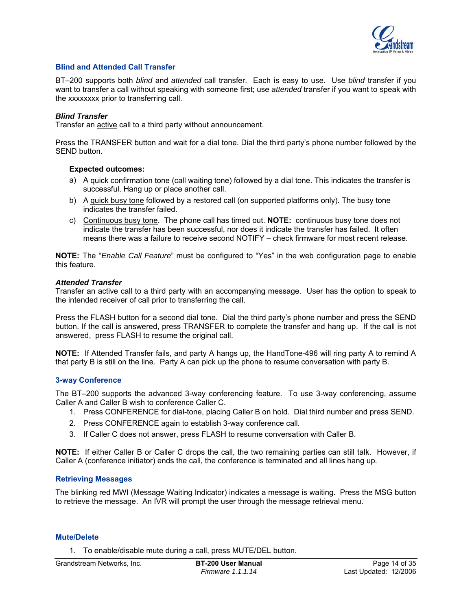

#### <span id="page-13-0"></span>**Blind and Attended Call Transfer**

BT–200 supports both *blind* and *attended* call transfer. Each is easy to use. Use *blind* transfer if you want to transfer a call without speaking with someone first; use *attended* transfer if you want to speak with the xxxxxxxx prior to transferring call.

#### *Blind Transfer*

Transfer an active call to a third party without announcement.

Press the TRANSFER button and wait for a dial tone. Dial the third party's phone number followed by the SEND button.

#### **Expected outcomes:**

- a) A quick confirmation tone (call waiting tone) followed by a dial tone. This indicates the transfer is successful. Hang up or place another call.
- b) A quick busy tone followed by a restored call (on supported platforms only). The busy tone indicates the transfer failed.
- c) Continuous busy tone. The phone call has timed out. **NOTE:** continuous busy tone does not indicate the transfer has been successful, nor does it indicate the transfer has failed. It often means there was a failure to receive second NOTIFY – check firmware for most recent release.

**NOTE:** The "*Enable Call Feature*" must be configured to "Yes" in the web configuration page to enable this feature.

#### *Attended Transfer*

Transfer an active call to a third party with an accompanying message. User has the option to speak to the intended receiver of call prior to transferring the call.

Press the FLASH button for a second dial tone. Dial the third party's phone number and press the SEND button. If the call is answered, press TRANSFER to complete the transfer and hang up. If the call is not answered, press FLASH to resume the original call.

**NOTE:** If Attended Transfer fails, and party A hangs up, the HandTone-496 will ring party A to remind A that party B is still on the line. Party A can pick up the phone to resume conversation with party B.

#### **3-way Conference**

The BT–200 supports the advanced 3-way conferencing feature. To use 3-way conferencing, assume Caller A and Caller B wish to conference Caller C. 1. Press CONFERENCE for dial-tone, placing Caller B on hold. Dial third number and press SEND.

- 
- 2. Press CONFERENCE again to establish 3-way conference call.
- 3. If Caller C does not answer, press FLASH to resume conversation with Caller B.

**NOTE:** If either Caller B or Caller C drops the call, the two remaining parties can still talk. However, if Caller A (conference initiator) ends the call, the conference is terminated and all lines hang up.

# **Retrieving Messages**

The blinking red MWI (Message Waiting Indicator) indicates a message is waiting. Press the MSG button to retrieve the message. An IVR will prompt the user through the message retrieval menu.

#### **Mute/Delete**

1. To enable/disable mute during a call, press MUTE/DEL button.

Grandstream Networks, Inc. **BT-200 User Manual** Page 14 of 35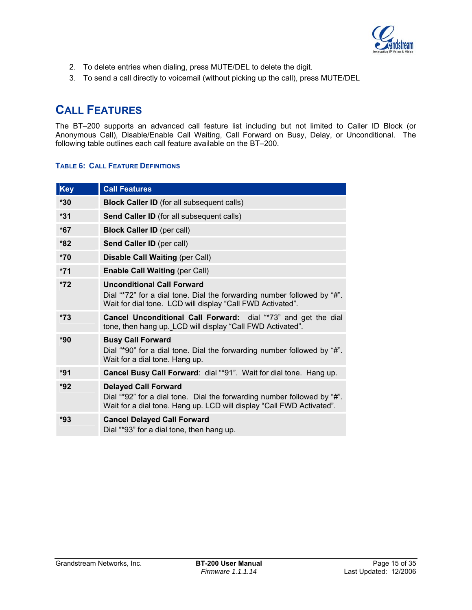

- <span id="page-14-0"></span>2. To delete entries when dialing, press MUTE/DEL to delete the digit.
- 3. To send a call directly to voicemail (without picking up the call), press MUTE/DEL

# **CALL FEATURES**

The BT–200 supports an advanced call feature list including but not limited to Caller ID Block (or Anonymous Call), Disable/Enable Call Waiting, Call Forward on Busy, Delay, or Unconditional. The following table outlines each call feature available on the BT–200.

# **TABLE 6: CALL FEATURE DEFINITIONS**

| <b>Key</b> | <b>Call Features</b>                                                                                                                                                            |
|------------|---------------------------------------------------------------------------------------------------------------------------------------------------------------------------------|
| $*30$      | <b>Block Caller ID</b> (for all subsequent calls)                                                                                                                               |
| $*31$      | Send Caller ID (for all subsequent calls)                                                                                                                                       |
| $*67$      | <b>Block Caller ID (per call)</b>                                                                                                                                               |
| $*82$      | Send Caller ID (per call)                                                                                                                                                       |
| $*70$      | <b>Disable Call Waiting (per Call)</b>                                                                                                                                          |
| $*71$      | <b>Enable Call Waiting (per Call)</b>                                                                                                                                           |
| $*72$      | <b>Unconditional Call Forward</b><br>Dial "*72" for a dial tone. Dial the forwarding number followed by "#".<br>Wait for dial tone. LCD will display "Call FWD Activated".      |
| $*73$      | Cancel Unconditional Call Forward: dial "*73" and get the dial<br>tone, then hang up. LCD will display "Call FWD Activated".                                                    |
| $*90$      | <b>Busy Call Forward</b><br>Dial "*90" for a dial tone. Dial the forwarding number followed by "#".<br>Wait for a dial tone. Hang up.                                           |
| $*91$      | Cancel Busy Call Forward: dial "*91". Wait for dial tone. Hang up.                                                                                                              |
| $*92$      | <b>Delayed Call Forward</b><br>Dial "*92" for a dial tone. Dial the forwarding number followed by "#".<br>Wait for a dial tone. Hang up. LCD will display "Call FWD Activated". |
| *93        | <b>Cancel Delayed Call Forward</b><br>Dial "*93" for a dial tone, then hang up.                                                                                                 |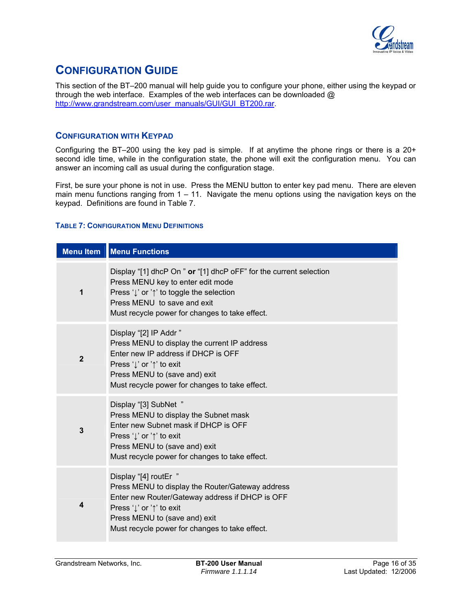

# <span id="page-15-0"></span>**CONFIGURATION GUIDE**

This section of the BT–200 manual will help guide you to configure your phone, either using the keypad or through the web interface. Examples of the web interfaces can be downloaded @ [http://www.grandstream.com/user\\_manuals/GUI/GUI\\_BT200.rar.](http://www.grandstream.com/user_manuals/GUI/GUI_BT200.rar)

# **CONFIGURATION WITH KEYPAD**

Configuring the BT–200 using the key pad is simple. If at anytime the phone rings or there is a 20+ second idle time, while in the configuration state, the phone will exit the configuration menu. You can answer an incoming call as usual during the configuration stage.

First, be sure your phone is not in use. Press the MENU button to enter key pad menu. There are eleven main menu functions ranging from  $1 - 11$ . Navigate the menu options using the navigation keys on the keypad. Definitions are found in Table 7.

#### **TABLE 7: CONFIGURATION MENU DEFINITIONS**

| <b>Menu Item</b> | <b>Menu Functions</b>                                                                                                                                                                                                                                        |
|------------------|--------------------------------------------------------------------------------------------------------------------------------------------------------------------------------------------------------------------------------------------------------------|
| 1                | Display "[1] dhcP On " or "[1] dhcP oFF" for the current selection<br>Press MENU key to enter edit mode<br>Press ' $\downarrow$ ' or ' $\uparrow$ ' to toggle the selection<br>Press MENU to save and exit<br>Must recycle power for changes to take effect. |
| $\overline{2}$   | Display "[2] IP Addr"<br>Press MENU to display the current IP address<br>Enter new IP address if DHCP is OFF<br>Press '↓' or '↑' to exit<br>Press MENU to (save and) exit<br>Must recycle power for changes to take effect.                                  |
| 3                | Display "[3] SubNet "<br>Press MENU to display the Subnet mask<br>Enter new Subnet mask if DHCP is OFF<br>Press '↓' or '↑' to exit<br>Press MENU to (save and) exit<br>Must recycle power for changes to take effect.                                        |
| 4                | Display "[4] routEr "<br>Press MENU to display the Router/Gateway address<br>Enter new Router/Gateway address if DHCP is OFF<br>Press '↓' or '↑' to exit<br>Press MENU to (save and) exit<br>Must recycle power for changes to take effect.                  |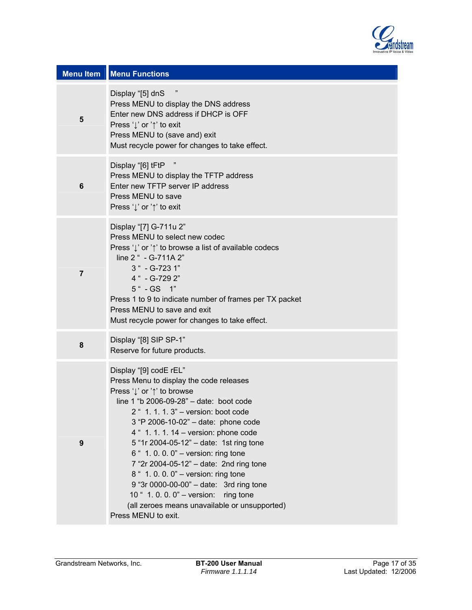

| <b>Menu Item</b> | <b>Menu Functions</b>                                                                                                                                                                                                                                                                                                                                                                                                                                                                                                                                                                       |
|------------------|---------------------------------------------------------------------------------------------------------------------------------------------------------------------------------------------------------------------------------------------------------------------------------------------------------------------------------------------------------------------------------------------------------------------------------------------------------------------------------------------------------------------------------------------------------------------------------------------|
| 5                | Display "[5] dnS<br>Press MENU to display the DNS address<br>Enter new DNS address if DHCP is OFF<br>Press '↓' or '↑' to exit<br>Press MENU to (save and) exit<br>Must recycle power for changes to take effect.                                                                                                                                                                                                                                                                                                                                                                            |
| $\bf 6$          | Display "[6] tFtP<br>Press MENU to display the TFTP address<br>Enter new TFTP server IP address<br>Press MENU to save<br>Press '↓' or '↑' to exit                                                                                                                                                                                                                                                                                                                                                                                                                                           |
| $\overline{7}$   | Display "[7] G-711u 2"<br>Press MENU to select new codec<br>Press 'Į' or '↑' to browse a list of available codecs<br>line 2 " - G-711A 2"<br>3 " - G-723 1"<br>4 " - G-729 2"<br>5 " - GS 1"<br>Press 1 to 9 to indicate number of frames per TX packet<br>Press MENU to save and exit<br>Must recycle power for changes to take effect.                                                                                                                                                                                                                                                    |
| 8                | Display "[8] SIP SP-1"<br>Reserve for future products.                                                                                                                                                                                                                                                                                                                                                                                                                                                                                                                                      |
| 9                | Display "[9] codE rEL"<br>Press Menu to display the code releases<br>Press 'l' or '1' to browse<br>line 1 "b 2006-09-28" - date: boot code<br>2 " 1. 1. 1. 3" - version: boot code<br>3 "P 2006-10-02" - date: phone code<br>4 " 1. 1. 1. 14 – version: phone code<br>5 "1r 2004-05-12" - date: 1st ring tone<br>6 " 1.0.0.0" - version: ring tone<br>7 "2r 2004-05-12" - date: 2nd ring tone<br>8 " 1.0.0.0" - version: ring tone<br>9 "3r 0000-00-00" - date: 3rd ring tone<br>10 " 1.0.0.0" - version: ring tone<br>(all zeroes means unavailable or unsupported)<br>Press MENU to exit. |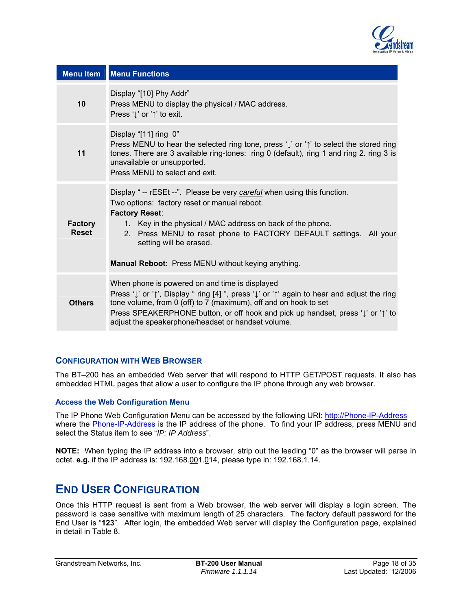

<span id="page-17-0"></span>

| <b>Menu Item</b>        | <b>Menu Functions</b>                                                                                                                                                                                                                                                                                                                                                              |
|-------------------------|------------------------------------------------------------------------------------------------------------------------------------------------------------------------------------------------------------------------------------------------------------------------------------------------------------------------------------------------------------------------------------|
| 10                      | Display "[10] Phy Addr"<br>Press MENU to display the physical / MAC address.<br>Press 'l' or '1' to exit.                                                                                                                                                                                                                                                                          |
| 11                      | Display "[11] ring 0"<br>Press MENU to hear the selected ring tone, press ' $\downarrow$ ' or ' $\uparrow$ ' to select the stored ring<br>tones. There are 3 available ring-tones: ring 0 (default), ring 1 and ring 2. ring 3 is<br>unavailable or unsupported.<br>Press MENU to select and exit.                                                                                 |
| <b>Factory</b><br>Reset | Display "-- rESEt --". Please be very careful when using this function.<br>Two options: factory reset or manual reboot.<br><b>Factory Reset:</b><br>1. Key in the physical / MAC address on back of the phone.<br>2. Press MENU to reset phone to FACTORY DEFAULT settings. All your<br>setting will be erased.<br>Manual Reboot: Press MENU without keying anything.              |
| <b>Others</b>           | When phone is powered on and time is displayed<br>Press 'l' or ' <sup>†</sup> ', Display " ring [4] ", press 'l' or ' <sup>†'</sup> again to hear and adjust the ring<br>tone volume, from 0 (off) to 7 (maximum), off and on hook to set<br>Press SPEAKERPHONE button, or off hook and pick up handset, press 'J' or '1' to<br>adjust the speakerphone/headset or handset volume. |

# **CONFIGURATION WITH WEB BROWSER**

The BT–200 has an embedded Web server that will respond to HTTP GET/POST requests. It also has embedded HTML pages that allow a user to configure the IP phone through any web browser.

# **Access the Web Configuration Menu**

The IP Phone Web Configuration Menu can be accessed by the following URI: [http://Phone-IP-Address](http://phone-ip-address/) where the Phone-IP-Address is the IP address of the phone. To find your IP address, press MENU and select the Status item to see "*IP: IP Address*".

**NOTE:** When typing the IP address into a browser, strip out the leading "0" as the browser will parse in octet. **e.g.** if the IP address is: 192.168.001.014, please type in: 192.168.1.14.

# **END USER CONFIGURATION**

Once this HTTP request is sent from a Web browser, the web server will display a login screen. The password is case sensitive with maximum length of 25 characters. The factory default password for the End User is "**123**". After login, the embedded Web server will display the Configuration page, explained in detail in Table 8.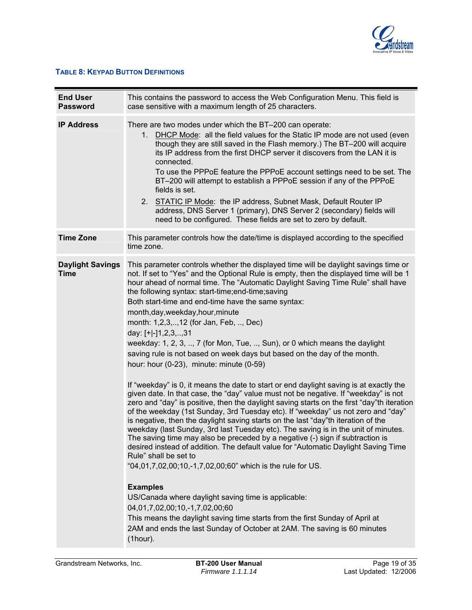

# <span id="page-18-0"></span>**TABLE 8: KEYPAD BUTTON DEFINITIONS**

| <b>End User</b><br><b>Password</b>     | This contains the password to access the Web Configuration Menu. This field is<br>case sensitive with a maximum length of 25 characters.                                                                                                                                                                                                                                                                                                                                                                                                                                                                                                                                                                                                                                                                                                                                                                                                                                                                                                                                                                                                                                                                                                                                                                                                                                                                                                                                                                                                                                                                                                                                                                                                                                                 |
|----------------------------------------|------------------------------------------------------------------------------------------------------------------------------------------------------------------------------------------------------------------------------------------------------------------------------------------------------------------------------------------------------------------------------------------------------------------------------------------------------------------------------------------------------------------------------------------------------------------------------------------------------------------------------------------------------------------------------------------------------------------------------------------------------------------------------------------------------------------------------------------------------------------------------------------------------------------------------------------------------------------------------------------------------------------------------------------------------------------------------------------------------------------------------------------------------------------------------------------------------------------------------------------------------------------------------------------------------------------------------------------------------------------------------------------------------------------------------------------------------------------------------------------------------------------------------------------------------------------------------------------------------------------------------------------------------------------------------------------------------------------------------------------------------------------------------------------|
| <b>IP Address</b>                      | There are two modes under which the BT-200 can operate:<br>DHCP Mode: all the field values for the Static IP mode are not used (even<br>$1_{\cdot}$<br>though they are still saved in the Flash memory.) The BT-200 will acquire<br>its IP address from the first DHCP server it discovers from the LAN it is<br>connected.<br>To use the PPPoE feature the PPPoE account settings need to be set. The<br>BT-200 will attempt to establish a PPPoE session if any of the PPPoE<br>fields is set.<br>2. STATIC IP Mode: the IP address, Subnet Mask, Default Router IP<br>address, DNS Server 1 (primary), DNS Server 2 (secondary) fields will<br>need to be configured. These fields are set to zero by default.                                                                                                                                                                                                                                                                                                                                                                                                                                                                                                                                                                                                                                                                                                                                                                                                                                                                                                                                                                                                                                                                        |
| <b>Time Zone</b>                       | This parameter controls how the date/time is displayed according to the specified<br>time zone.                                                                                                                                                                                                                                                                                                                                                                                                                                                                                                                                                                                                                                                                                                                                                                                                                                                                                                                                                                                                                                                                                                                                                                                                                                                                                                                                                                                                                                                                                                                                                                                                                                                                                          |
| <b>Daylight Savings</b><br><b>Time</b> | This parameter controls whether the displayed time will be daylight savings time or<br>not. If set to "Yes" and the Optional Rule is empty, then the displayed time will be 1<br>hour ahead of normal time. The "Automatic Daylight Saving Time Rule" shall have<br>the following syntax: start-time;end-time;saving<br>Both start-time and end-time have the same syntax:<br>month, day, weekday, hour, minute<br>month: 1,2,3,,12 (for Jan, Feb, , Dec)<br>day: [+ -]1,2,3,,31<br>weekday: 1, 2, 3, , 7 (for Mon, Tue, , Sun), or 0 which means the daylight<br>saving rule is not based on week days but based on the day of the month.<br>hour: hour (0-23), minute: minute (0-59)<br>If "weekday" is 0, it means the date to start or end daylight saving is at exactly the<br>given date. In that case, the "day" value must not be negative. If "weekday" is not<br>zero and "day" is positive, then the daylight saving starts on the first "day" th iteration<br>of the weekday (1st Sunday, 3rd Tuesday etc). If "weekday" us not zero and "day"<br>is negative, then the daylight saving starts on the last "day"th iteration of the<br>weekday (last Sunday, 3rd last Tuesday etc). The saving is in the unit of minutes.<br>The saving time may also be preceded by a negative (-) sign if subtraction is<br>desired instead of addition. The default value for "Automatic Daylight Saving Time<br>Rule" shall be set to<br>"04,01,7,02,00;10,-1,7,02,00;60" which is the rule for US.<br><b>Examples</b><br>US/Canada where daylight saving time is applicable:<br>04,01,7,02,00;10,-1,7,02,00;60<br>This means the daylight saving time starts from the first Sunday of April at<br>2AM and ends the last Sunday of October at 2AM. The saving is 60 minutes<br>(1 hour). |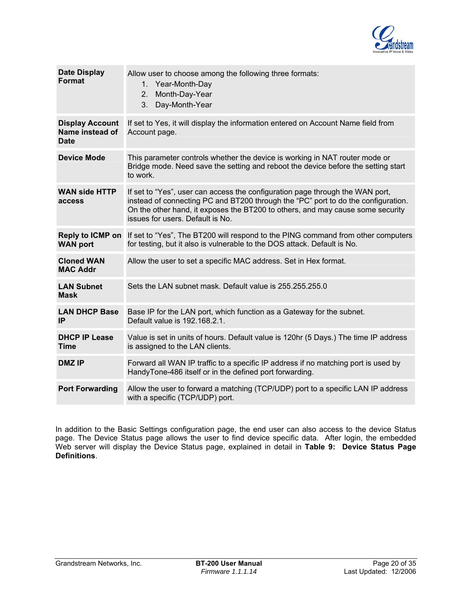

| <b>Date Display</b><br><b>Format</b>                     | Allow user to choose among the following three formats:<br>1. Year-Month-Day<br>2.<br>Month-Day-Year<br>3.<br>Day-Month-Year                                                                                                                                                             |
|----------------------------------------------------------|------------------------------------------------------------------------------------------------------------------------------------------------------------------------------------------------------------------------------------------------------------------------------------------|
| <b>Display Account</b><br>Name instead of<br><b>Date</b> | If set to Yes, it will display the information entered on Account Name field from<br>Account page.                                                                                                                                                                                       |
| <b>Device Mode</b>                                       | This parameter controls whether the device is working in NAT router mode or<br>Bridge mode. Need save the setting and reboot the device before the setting start<br>to work.                                                                                                             |
| <b>WAN side HTTP</b><br>access                           | If set to "Yes", user can access the configuration page through the WAN port,<br>instead of connecting PC and BT200 through the "PC" port to do the configuration.<br>On the other hand, it exposes the BT200 to others, and may cause some security<br>issues for users. Default is No. |
| <b>Reply to ICMP on</b><br><b>WAN port</b>               | If set to "Yes", The BT200 will respond to the PING command from other computers<br>for testing, but it also is vulnerable to the DOS attack. Default is No.                                                                                                                             |
| <b>Cloned WAN</b><br><b>MAC Addr</b>                     | Allow the user to set a specific MAC address. Set in Hex format.                                                                                                                                                                                                                         |
| <b>LAN Subnet</b><br><b>Mask</b>                         | Sets the LAN subnet mask. Default value is 255.255.255.0                                                                                                                                                                                                                                 |
| <b>LAN DHCP Base</b><br>IP                               | Base IP for the LAN port, which function as a Gateway for the subnet.<br>Default value is 192.168.2.1.                                                                                                                                                                                   |
| <b>DHCP IP Lease</b><br><b>Time</b>                      | Value is set in units of hours. Default value is 120hr (5 Days.) The time IP address<br>is assigned to the LAN clients.                                                                                                                                                                  |
| <b>DMZ IP</b>                                            | Forward all WAN IP traffic to a specific IP address if no matching port is used by<br>HandyTone-486 itself or in the defined port forwarding.                                                                                                                                            |
| <b>Port Forwarding</b>                                   | Allow the user to forward a matching (TCP/UDP) port to a specific LAN IP address<br>with a specific (TCP/UDP) port.                                                                                                                                                                      |
|                                                          |                                                                                                                                                                                                                                                                                          |

In addition to the Basic Settings configuration page, the end user can also access to the device Status page. The Device Status page allows the user to find device specific data. After login, the embedded Web server will display the Device Status page, explained in detail in **Table 9: Device Status Page Definitions**.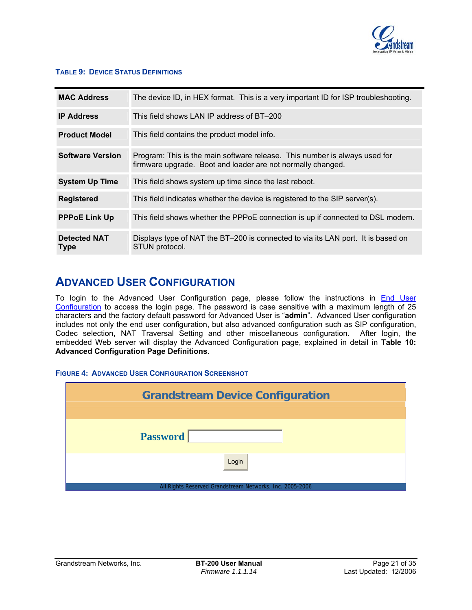

# <span id="page-20-0"></span>**TABLE 9: DEVICE STATUS DEFINITIONS**

| <b>MAC Address</b>                 | The device ID, in HEX format. This is a very important ID for ISP troubleshooting.                                                        |
|------------------------------------|-------------------------------------------------------------------------------------------------------------------------------------------|
| <b>IP Address</b>                  | This field shows LAN IP address of BT-200                                                                                                 |
| <b>Product Model</b>               | This field contains the product model info.                                                                                               |
| <b>Software Version</b>            | Program: This is the main software release. This number is always used for<br>firmware upgrade. Boot and loader are not normally changed. |
| <b>System Up Time</b>              | This field shows system up time since the last reboot.                                                                                    |
| <b>Registered</b>                  | This field indicates whether the device is registered to the SIP server(s).                                                               |
| <b>PPPoE Link Up</b>               | This field shows whether the PPPoE connection is up if connected to DSL modem.                                                            |
| <b>Detected NAT</b><br><b>Type</b> | Displays type of NAT the BT-200 is connected to via its LAN port. It is based on<br>STUN protocol.                                        |

# **ADVANCED USER CONFIGURATION**

To login to the Advanced User Configuration page, please follow the instructions in [End User](#page-17-0)  [Configuration](#page-17-0) to access the login page. The password is case sensitive with a maximum length of 25 characters and the factory default password for Advanced User is "**admin**". Advanced User configuration includes not only the end user configuration, but also advanced configuration such as SIP configuration, Codec selection, NAT Traversal Setting and other miscellaneous configuration. After login, the embedded Web server will display the Advanced Configuration page, explained in detail in **Table 10: Advanced Configuration Page Definitions**.

# **FIGURE 4: ADVANCED USER CONFIGURATION SCREENSHOT**

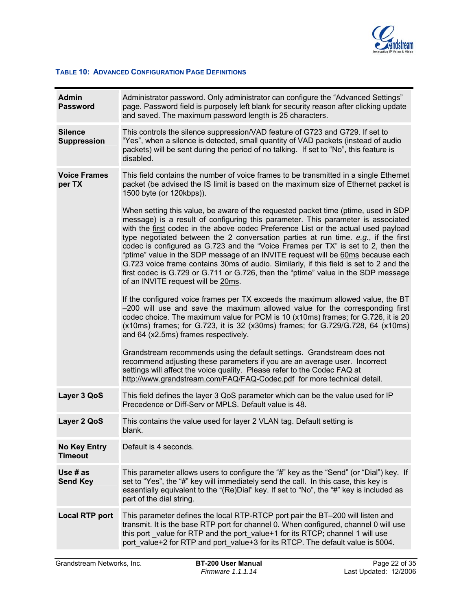

#### <span id="page-21-0"></span>**TABLE 10: ADVANCED CONFIGURATION PAGE DEFINITIONS**

| <b>Admin</b><br><b>Password</b>       | Administrator password. Only administrator can configure the "Advanced Settings"<br>page. Password field is purposely left blank for security reason after clicking update<br>and saved. The maximum password length is 25 characters.                                                                                                                                                                                                                                                                                                                                                                                                                                                                                                         |
|---------------------------------------|------------------------------------------------------------------------------------------------------------------------------------------------------------------------------------------------------------------------------------------------------------------------------------------------------------------------------------------------------------------------------------------------------------------------------------------------------------------------------------------------------------------------------------------------------------------------------------------------------------------------------------------------------------------------------------------------------------------------------------------------|
| <b>Silence</b><br><b>Suppression</b>  | This controls the silence suppression/VAD feature of G723 and G729. If set to<br>"Yes", when a silence is detected, small quantity of VAD packets (instead of audio<br>packets) will be sent during the period of no talking. If set to "No", this feature is<br>disabled.                                                                                                                                                                                                                                                                                                                                                                                                                                                                     |
| <b>Voice Frames</b><br>per TX         | This field contains the number of voice frames to be transmitted in a single Ethernet<br>packet (be advised the IS limit is based on the maximum size of Ethernet packet is<br>1500 byte (or 120kbps)).                                                                                                                                                                                                                                                                                                                                                                                                                                                                                                                                        |
|                                       | When setting this value, be aware of the requested packet time (ptime, used in SDP<br>message) is a result of configuring this parameter. This parameter is associated<br>with the first codec in the above codec Preference List or the actual used payload<br>type negotiated between the 2 conversation parties at run time. e.g., if the first<br>codec is configured as G.723 and the "Voice Frames per TX" is set to 2, then the<br>"ptime" value in the SDP message of an INVITE request will be 60ms because each<br>G.723 voice frame contains 30ms of audio. Similarly, if this field is set to 2 and the<br>first codec is G.729 or G.711 or G.726, then the "ptime" value in the SDP message<br>of an INVITE request will be 20ms. |
|                                       | If the configured voice frames per TX exceeds the maximum allowed value, the BT<br>-200 will use and save the maximum allowed value for the corresponding first<br>codec choice. The maximum value for PCM is 10 (x10ms) frames; for G.726, it is 20<br>(x10ms) frames; for G.723, it is 32 (x30ms) frames; for G.729/G.728, 64 (x10ms)<br>and 64 (x2.5ms) frames respectively.                                                                                                                                                                                                                                                                                                                                                                |
|                                       | Grandstream recommends using the default settings. Grandstream does not<br>recommend adjusting these parameters if you are an average user. Incorrect<br>settings will affect the voice quality. Please refer to the Codec FAQ at<br>http://www.grandstream.com/FAQ/FAQ-Codec.pdf for more technical detail.                                                                                                                                                                                                                                                                                                                                                                                                                                   |
| Layer 3 QoS                           | This field defines the layer 3 QoS parameter which can be the value used for IP<br>Precedence or Diff-Serv or MPLS. Default value is 48.                                                                                                                                                                                                                                                                                                                                                                                                                                                                                                                                                                                                       |
| Layer 2 QoS                           | This contains the value used for layer 2 VLAN tag. Default setting is<br>blank.                                                                                                                                                                                                                                                                                                                                                                                                                                                                                                                                                                                                                                                                |
| <b>No Key Entry</b><br><b>Timeout</b> | Default is 4 seconds.                                                                                                                                                                                                                                                                                                                                                                                                                                                                                                                                                                                                                                                                                                                          |
| Use $#$ as<br><b>Send Key</b>         | This parameter allows users to configure the "#" key as the "Send" (or "Dial") key. If<br>set to "Yes", the "#" key will immediately send the call. In this case, this key is<br>essentially equivalent to the "(Re)Dial" key. If set to "No", the "#" key is included as<br>part of the dial string.                                                                                                                                                                                                                                                                                                                                                                                                                                          |
| <b>Local RTP port</b>                 | This parameter defines the local RTP-RTCP port pair the BT-200 will listen and<br>transmit. It is the base RTP port for channel 0. When configured, channel 0 will use<br>this port _value for RTP and the port_value+1 for its RTCP; channel 1 will use<br>port value+2 for RTP and port_value+3 for its RTCP. The default value is 5004.                                                                                                                                                                                                                                                                                                                                                                                                     |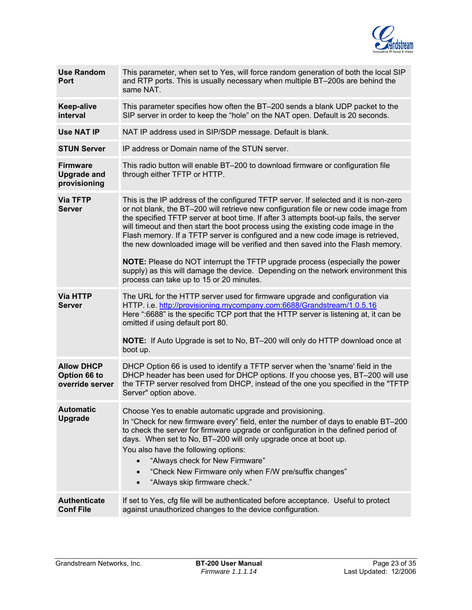

| <b>Use Random</b><br><b>Port</b>                      | This parameter, when set to Yes, will force random generation of both the local SIP<br>and RTP ports. This is usually necessary when multiple BT-200s are behind the<br>same NAT.                                                                                                                                                                                                                                                                                                                                                |
|-------------------------------------------------------|----------------------------------------------------------------------------------------------------------------------------------------------------------------------------------------------------------------------------------------------------------------------------------------------------------------------------------------------------------------------------------------------------------------------------------------------------------------------------------------------------------------------------------|
| <b>Keep-alive</b><br>interval                         | This parameter specifies how often the BT-200 sends a blank UDP packet to the<br>SIP server in order to keep the "hole" on the NAT open. Default is 20 seconds.                                                                                                                                                                                                                                                                                                                                                                  |
| <b>Use NAT IP</b>                                     | NAT IP address used in SIP/SDP message. Default is blank.                                                                                                                                                                                                                                                                                                                                                                                                                                                                        |
| <b>STUN Server</b>                                    | IP address or Domain name of the STUN server.                                                                                                                                                                                                                                                                                                                                                                                                                                                                                    |
| <b>Firmware</b><br><b>Upgrade and</b><br>provisioning | This radio button will enable BT-200 to download firmware or configuration file<br>through either TFTP or HTTP.                                                                                                                                                                                                                                                                                                                                                                                                                  |
| <b>Via TFTP</b><br><b>Server</b>                      | This is the IP address of the configured TFTP server. If selected and it is non-zero<br>or not blank, the BT-200 will retrieve new configuration file or new code image from<br>the specified TFTP server at boot time. If after 3 attempts boot-up fails, the server<br>will timeout and then start the boot process using the existing code image in the<br>Flash memory. If a TFTP server is configured and a new code image is retrieved,<br>the new downloaded image will be verified and then saved into the Flash memory. |
|                                                       | NOTE: Please do NOT interrupt the TFTP upgrade process (especially the power<br>supply) as this will damage the device. Depending on the network environment this<br>process can take up to 15 or 20 minutes.                                                                                                                                                                                                                                                                                                                    |
| <b>Via HTTP</b><br><b>Server</b>                      | The URL for the HTTP server used for firmware upgrade and configuration via<br>HTTP. i.e. http://provisioning.mycompany.com:6688/Grandstream/1.0.5.16<br>Here ":6688" is the specific TCP port that the HTTP server is listening at, it can be<br>omitted if using default port 80.                                                                                                                                                                                                                                              |
|                                                       | <b>NOTE:</b> If Auto Upgrade is set to No, BT-200 will only do HTTP download once at<br>boot up.                                                                                                                                                                                                                                                                                                                                                                                                                                 |
| <b>Allow DHCP</b><br>Option 66 to<br>override server  | DHCP Option 66 is used to identify a TFTP server when the 'sname' field in the<br>DHCP header has been used for DHCP options. If you choose yes, BT-200 will use<br>the TFTP server resolved from DHCP, instead of the one you specified in the "TFTP<br>Server" option above.                                                                                                                                                                                                                                                   |
| <b>Automatic</b><br><b>Upgrade</b>                    | Choose Yes to enable automatic upgrade and provisioning.<br>In "Check for new firmware every" field, enter the number of days to enable BT-200<br>to check the server for firmware upgrade or configuration in the defined period of<br>days. When set to No, BT-200 will only upgrade once at boot up.<br>You also have the following options:<br>"Always check for New Firmware"<br>"Check New Firmware only when F/W pre/suffix changes"<br>$\bullet$<br>"Always skip firmware check."                                        |
| <b>Authenticate</b><br><b>Conf File</b>               | If set to Yes, cfg file will be authenticated before acceptance. Useful to protect<br>against unauthorized changes to the device configuration.                                                                                                                                                                                                                                                                                                                                                                                  |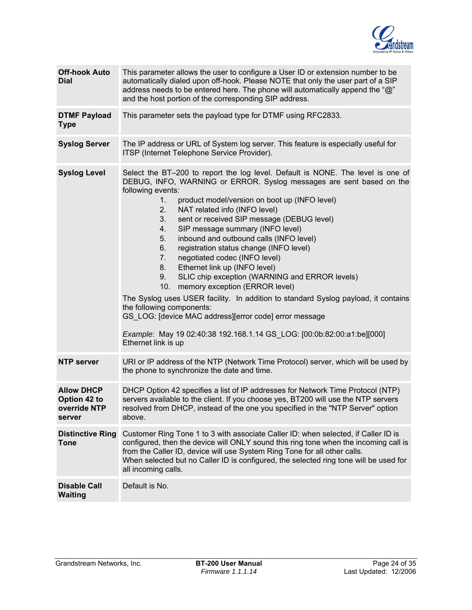

| <b>Off-hook Auto</b><br><b>Dial</b>                         | This parameter allows the user to configure a User ID or extension number to be<br>automatically dialed upon off-hook. Please NOTE that only the user part of a SIP<br>address needs to be entered here. The phone will automatically append the "@"<br>and the host portion of the corresponding SIP address.                                                                                                                                                                                                                                                                                                                                                                                                                                                                                                                                                                                                                          |
|-------------------------------------------------------------|-----------------------------------------------------------------------------------------------------------------------------------------------------------------------------------------------------------------------------------------------------------------------------------------------------------------------------------------------------------------------------------------------------------------------------------------------------------------------------------------------------------------------------------------------------------------------------------------------------------------------------------------------------------------------------------------------------------------------------------------------------------------------------------------------------------------------------------------------------------------------------------------------------------------------------------------|
| <b>DTMF Payload</b><br><b>Type</b>                          | This parameter sets the payload type for DTMF using RFC2833.                                                                                                                                                                                                                                                                                                                                                                                                                                                                                                                                                                                                                                                                                                                                                                                                                                                                            |
| <b>Syslog Server</b>                                        | The IP address or URL of System log server. This feature is especially useful for<br>ITSP (Internet Telephone Service Provider).                                                                                                                                                                                                                                                                                                                                                                                                                                                                                                                                                                                                                                                                                                                                                                                                        |
| <b>Syslog Level</b>                                         | Select the BT-200 to report the log level. Default is NONE. The level is one of<br>DEBUG, INFO, WARNING or ERROR. Syslog messages are sent based on the<br>following events:<br>product model/version on boot up (INFO level)<br>1.<br>NAT related info (INFO level)<br>2.<br>sent or received SIP message (DEBUG level)<br>3.<br>SIP message summary (INFO level)<br>4.<br>inbound and outbound calls (INFO level)<br>5.<br>registration status change (INFO level)<br>6.<br>negotiated codec (INFO level)<br>7.<br>Ethernet link up (INFO level)<br>8.<br>SLIC chip exception (WARNING and ERROR levels)<br>9.<br>memory exception (ERROR level)<br>10.<br>The Syslog uses USER facility. In addition to standard Syslog payload, it contains<br>the following components:<br>GS_LOG: [device MAC address][error code] error message<br>Example: May 19 02:40:38 192.168.1.14 GS_LOG: [00:0b:82:00:a1:be][000]<br>Ethernet link is up |
| <b>NTP server</b>                                           | URI or IP address of the NTP (Network Time Protocol) server, which will be used by<br>the phone to synchronize the date and time.                                                                                                                                                                                                                                                                                                                                                                                                                                                                                                                                                                                                                                                                                                                                                                                                       |
| <b>Allow DHCP</b><br>Option 42 to<br>override NTP<br>server | DHCP Option 42 specifies a list of IP addresses for Network Time Protocol (NTP)<br>servers available to the client. If you choose yes, BT200 will use the NTP servers<br>resolved from DHCP, instead of the one you specified in the "NTP Server" option<br>above.                                                                                                                                                                                                                                                                                                                                                                                                                                                                                                                                                                                                                                                                      |
| <b>Distinctive Ring</b><br><b>Tone</b>                      | Customer Ring Tone 1 to 3 with associate Caller ID: when selected, if Caller ID is<br>configured, then the device will ONLY sound this ring tone when the incoming call is<br>from the Caller ID, device will use System Ring Tone for all other calls.<br>When selected but no Caller ID is configured, the selected ring tone will be used for<br>all incoming calls.                                                                                                                                                                                                                                                                                                                                                                                                                                                                                                                                                                 |
| <b>Disable Call</b><br><b>Waiting</b>                       | Default is No.                                                                                                                                                                                                                                                                                                                                                                                                                                                                                                                                                                                                                                                                                                                                                                                                                                                                                                                          |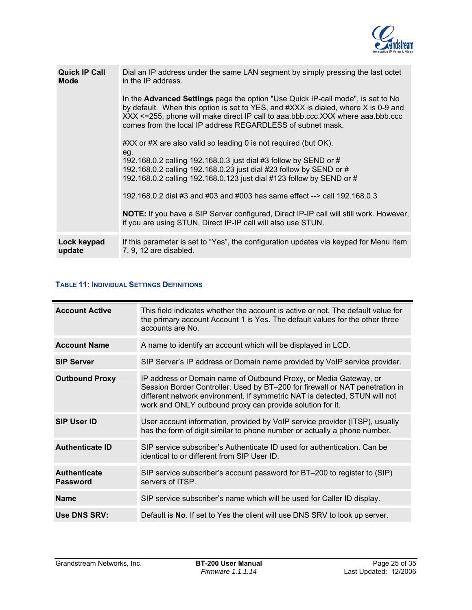

<span id="page-24-0"></span>

| <b>Quick IP Call</b><br><b>Mode</b> | Dial an IP address under the same LAN segment by simply pressing the last octet<br>in the IP address.<br>In the <b>Advanced Settings</b> page the option "Use Quick IP-call mode", is set to No<br>by default. When this option is set to YES, and #XXX is dialed, where X is 0-9 and<br>XXX <=255, phone will make direct IP call to aaa.bbb.ccc.XXX where aaa.bbb.ccc<br>comes from the local IP address REGARDLESS of subnet mask.<br>#XX or #X are also valid so leading 0 is not required (but OK).<br>eg.<br>192.168.0.2 calling 192.168.0.3 just dial #3 follow by SEND or #<br>192.168.0.2 calling 192.168.0.23 just dial #23 follow by SEND or #<br>192.168.0.2 calling 192.168.0.123 just dial #123 follow by SEND or #<br>192.168.0.2 dial #3 and #03 and #003 has same effect --> call 192.168.0.3<br><b>NOTE:</b> If you have a SIP Server configured, Direct IP-IP call will still work. However,<br>if you are using STUN, Direct IP-IP call will also use STUN. |
|-------------------------------------|---------------------------------------------------------------------------------------------------------------------------------------------------------------------------------------------------------------------------------------------------------------------------------------------------------------------------------------------------------------------------------------------------------------------------------------------------------------------------------------------------------------------------------------------------------------------------------------------------------------------------------------------------------------------------------------------------------------------------------------------------------------------------------------------------------------------------------------------------------------------------------------------------------------------------------------------------------------------------------|
| Lock keypad                         | If this parameter is set to "Yes", the configuration updates via keypad for Menu Item                                                                                                                                                                                                                                                                                                                                                                                                                                                                                                                                                                                                                                                                                                                                                                                                                                                                                           |
| update                              | 7, 9, 12 are disabled.                                                                                                                                                                                                                                                                                                                                                                                                                                                                                                                                                                                                                                                                                                                                                                                                                                                                                                                                                          |

# **TABLE 11: INDIVIDUAL SETTINGS DEFINITIONS**

| <b>Account Active</b>                  | This field indicates whether the account is active or not. The default value for<br>the primary account Account 1 is Yes. The default values for the other three<br>accounts are No.                                                                                                         |
|----------------------------------------|----------------------------------------------------------------------------------------------------------------------------------------------------------------------------------------------------------------------------------------------------------------------------------------------|
| <b>Account Name</b>                    | A name to identify an account which will be displayed in LCD.                                                                                                                                                                                                                                |
| <b>SIP Server</b>                      | SIP Server's IP address or Domain name provided by VoIP service provider.                                                                                                                                                                                                                    |
| <b>Outbound Proxy</b>                  | IP address or Domain name of Outbound Proxy, or Media Gateway, or<br>Session Border Controller. Used by BT-200 for firewall or NAT penetration in<br>different network environment. If symmetric NAT is detected, STUN will not<br>work and ONLY outbound proxy can provide solution for it. |
| <b>SIP User ID</b>                     | User account information, provided by VoIP service provider (ITSP), usually<br>has the form of digit similar to phone number or actually a phone number.                                                                                                                                     |
| <b>Authenticate ID</b>                 | SIP service subscriber's Authenticate ID used for authentication. Can be<br>identical to or different from SIP User ID.                                                                                                                                                                      |
| <b>Authenticate</b><br><b>Password</b> | SIP service subscriber's account password for BT-200 to register to (SIP)<br>servers of ITSP.                                                                                                                                                                                                |
| <b>Name</b>                            | SIP service subscriber's name which will be used for Caller ID display.                                                                                                                                                                                                                      |
| <b>Use DNS SRV:</b>                    | Default is No. If set to Yes the client will use DNS SRV to look up server.                                                                                                                                                                                                                  |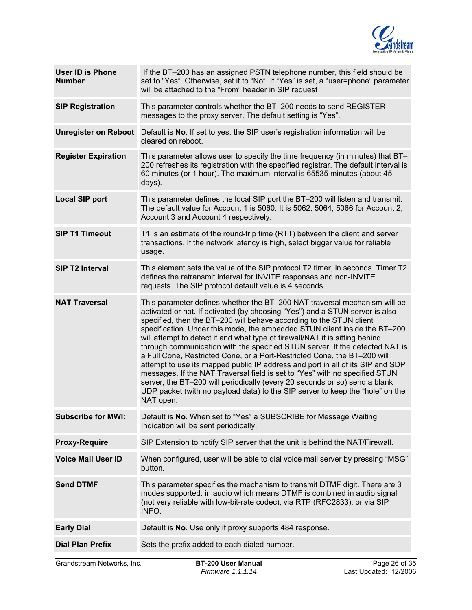

| <b>User ID is Phone</b><br><b>Number</b> | If the BT-200 has an assigned PSTN telephone number, this field should be<br>set to "Yes". Otherwise, set it to "No". If "Yes" is set, a "user=phone" parameter<br>will be attached to the "From" header in SIP request                                                                                                                                                                                                                                                                                                                                                                                                                                                                                                                                                                                                                                                                                 |
|------------------------------------------|---------------------------------------------------------------------------------------------------------------------------------------------------------------------------------------------------------------------------------------------------------------------------------------------------------------------------------------------------------------------------------------------------------------------------------------------------------------------------------------------------------------------------------------------------------------------------------------------------------------------------------------------------------------------------------------------------------------------------------------------------------------------------------------------------------------------------------------------------------------------------------------------------------|
| <b>SIP Registration</b>                  | This parameter controls whether the BT-200 needs to send REGISTER<br>messages to the proxy server. The default setting is "Yes".                                                                                                                                                                                                                                                                                                                                                                                                                                                                                                                                                                                                                                                                                                                                                                        |
| <b>Unregister on Reboot</b>              | Default is No. If set to yes, the SIP user's registration information will be<br>cleared on reboot.                                                                                                                                                                                                                                                                                                                                                                                                                                                                                                                                                                                                                                                                                                                                                                                                     |
| <b>Register Expiration</b>               | This parameter allows user to specify the time frequency (in minutes) that BT-<br>200 refreshes its registration with the specified registrar. The default interval is<br>60 minutes (or 1 hour). The maximum interval is 65535 minutes (about 45<br>days).                                                                                                                                                                                                                                                                                                                                                                                                                                                                                                                                                                                                                                             |
| <b>Local SIP port</b>                    | This parameter defines the local SIP port the BT-200 will listen and transmit.<br>The default value for Account 1 is 5060. It is 5062, 5064, 5066 for Account 2,<br>Account 3 and Account 4 respectively.                                                                                                                                                                                                                                                                                                                                                                                                                                                                                                                                                                                                                                                                                               |
| <b>SIP T1 Timeout</b>                    | T1 is an estimate of the round-trip time (RTT) between the client and server<br>transactions. If the network latency is high, select bigger value for reliable<br>usage.                                                                                                                                                                                                                                                                                                                                                                                                                                                                                                                                                                                                                                                                                                                                |
| <b>SIP T2 Interval</b>                   | This element sets the value of the SIP protocol T2 timer, in seconds. Timer T2<br>defines the retransmit interval for INVITE responses and non-INVITE<br>requests. The SIP protocol default value is 4 seconds.                                                                                                                                                                                                                                                                                                                                                                                                                                                                                                                                                                                                                                                                                         |
| <b>NAT Traversal</b>                     | This parameter defines whether the BT-200 NAT traversal mechanism will be<br>activated or not. If activated (by choosing "Yes") and a STUN server is also<br>specified, then the BT-200 will behave according to the STUN client<br>specification. Under this mode, the embedded STUN client inside the BT-200<br>will attempt to detect if and what type of firewall/NAT it is sitting behind<br>through communication with the specified STUN server. If the detected NAT is<br>a Full Cone, Restricted Cone, or a Port-Restricted Cone, the BT-200 will<br>attempt to use its mapped public IP address and port in all of its SIP and SDP<br>messages. If the NAT Traversal field is set to "Yes" with no specified STUN<br>server, the BT-200 will periodically (every 20 seconds or so) send a blank<br>UDP packet (with no payload data) to the SIP server to keep the "hole" on the<br>NAT open. |
| <b>Subscribe for MWI:</b>                | Default is No. When set to "Yes" a SUBSCRIBE for Message Waiting<br>Indication will be sent periodically.                                                                                                                                                                                                                                                                                                                                                                                                                                                                                                                                                                                                                                                                                                                                                                                               |
| <b>Proxy-Require</b>                     | SIP Extension to notify SIP server that the unit is behind the NAT/Firewall.                                                                                                                                                                                                                                                                                                                                                                                                                                                                                                                                                                                                                                                                                                                                                                                                                            |
| <b>Voice Mail User ID</b>                | When configured, user will be able to dial voice mail server by pressing "MSG"<br>button.                                                                                                                                                                                                                                                                                                                                                                                                                                                                                                                                                                                                                                                                                                                                                                                                               |
| <b>Send DTMF</b>                         | This parameter specifies the mechanism to transmit DTMF digit. There are 3<br>modes supported: in audio which means DTMF is combined in audio signal<br>(not very reliable with low-bit-rate codec), via RTP (RFC2833), or via SIP<br>INFO.                                                                                                                                                                                                                                                                                                                                                                                                                                                                                                                                                                                                                                                             |
| <b>Early Dial</b>                        | Default is No. Use only if proxy supports 484 response.                                                                                                                                                                                                                                                                                                                                                                                                                                                                                                                                                                                                                                                                                                                                                                                                                                                 |
| <b>Dial Plan Prefix</b>                  | Sets the prefix added to each dialed number.                                                                                                                                                                                                                                                                                                                                                                                                                                                                                                                                                                                                                                                                                                                                                                                                                                                            |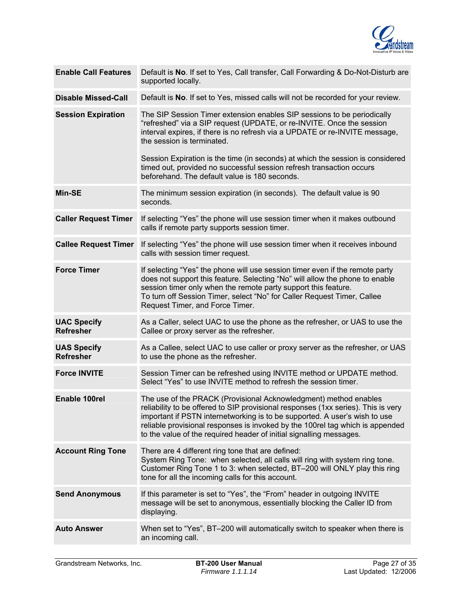

| <b>Enable Call Features</b>            | Default is No. If set to Yes, Call transfer, Call Forwarding & Do-Not-Disturb are<br>supported locally.                                                                                                                                                                                                                                                                                     |
|----------------------------------------|---------------------------------------------------------------------------------------------------------------------------------------------------------------------------------------------------------------------------------------------------------------------------------------------------------------------------------------------------------------------------------------------|
| <b>Disable Missed-Call</b>             | Default is No. If set to Yes, missed calls will not be recorded for your review.                                                                                                                                                                                                                                                                                                            |
| <b>Session Expiration</b>              | The SIP Session Timer extension enables SIP sessions to be periodically<br>"refreshed" via a SIP request (UPDATE, or re-INVITE. Once the session<br>interval expires, if there is no refresh via a UPDATE or re-INVITE message,<br>the session is terminated.<br>Session Expiration is the time (in seconds) at which the session is considered                                             |
|                                        | timed out, provided no successful session refresh transaction occurs<br>beforehand. The default value is 180 seconds.                                                                                                                                                                                                                                                                       |
| <b>Min-SE</b>                          | The minimum session expiration (in seconds). The default value is 90<br>seconds.                                                                                                                                                                                                                                                                                                            |
| <b>Caller Request Timer</b>            | If selecting "Yes" the phone will use session timer when it makes outbound<br>calls if remote party supports session timer.                                                                                                                                                                                                                                                                 |
| <b>Callee Request Timer</b>            | If selecting "Yes" the phone will use session timer when it receives inbound<br>calls with session timer request.                                                                                                                                                                                                                                                                           |
| <b>Force Timer</b>                     | If selecting "Yes" the phone will use session timer even if the remote party<br>does not support this feature. Selecting "No" will allow the phone to enable<br>session timer only when the remote party support this feature.<br>To turn off Session Timer, select "No" for Caller Request Timer, Callee<br>Request Timer, and Force Timer.                                                |
| <b>UAC Specify</b><br><b>Refresher</b> | As a Caller, select UAC to use the phone as the refresher, or UAS to use the<br>Callee or proxy server as the refresher.                                                                                                                                                                                                                                                                    |
| <b>UAS Specify</b><br><b>Refresher</b> | As a Callee, select UAC to use caller or proxy server as the refresher, or UAS<br>to use the phone as the refresher.                                                                                                                                                                                                                                                                        |
| <b>Force INVITE</b>                    | Session Timer can be refreshed using INVITE method or UPDATE method.<br>Select "Yes" to use INVITE method to refresh the session timer.                                                                                                                                                                                                                                                     |
| Enable 100rel                          | The use of the PRACK (Provisional Acknowledgment) method enables<br>reliability to be offered to SIP provisional responses (1xx series). This is very<br>important if PSTN internetworking is to be supported. A user's wish to use<br>reliable provisional responses is invoked by the 100rel tag which is appended<br>to the value of the required header of initial signalling messages. |
| <b>Account Ring Tone</b>               | There are 4 different ring tone that are defined:<br>System Ring Tone: when selected, all calls will ring with system ring tone.<br>Customer Ring Tone 1 to 3: when selected, BT-200 will ONLY play this ring<br>tone for all the incoming calls for this account.                                                                                                                          |
| <b>Send Anonymous</b>                  | If this parameter is set to "Yes", the "From" header in outgoing INVITE<br>message will be set to anonymous, essentially blocking the Caller ID from<br>displaying.                                                                                                                                                                                                                         |
| <b>Auto Answer</b>                     | When set to "Yes", BT-200 will automatically switch to speaker when there is<br>an incoming call.                                                                                                                                                                                                                                                                                           |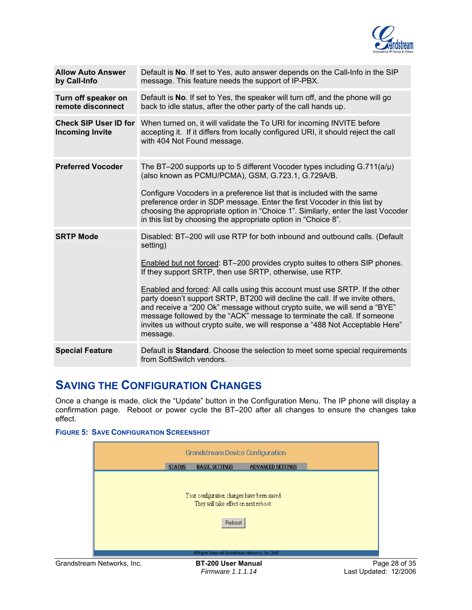

<span id="page-27-0"></span>

| <b>Allow Auto Answer</b><br>by Call-Info | Default is No. If set to Yes, auto answer depends on the Call-Info in the SIP<br>message. This feature needs the support of IP-PBX.                                                                                                                                                                                                                                                                                                                                                                                                                                                                                                                             |
|------------------------------------------|-----------------------------------------------------------------------------------------------------------------------------------------------------------------------------------------------------------------------------------------------------------------------------------------------------------------------------------------------------------------------------------------------------------------------------------------------------------------------------------------------------------------------------------------------------------------------------------------------------------------------------------------------------------------|
| Turn off speaker on<br>remote disconnect | Default is No. If set to Yes, the speaker will turn off, and the phone will go<br>back to idle status, after the other party of the call hands up.                                                                                                                                                                                                                                                                                                                                                                                                                                                                                                              |
| <b>Incoming Invite</b>                   | Check SIP User ID for When turned on, it will validate the To URI for incoming INVITE before<br>accepting it. If it differs from locally configured URI, it should reject the call<br>with 404 Not Found message.                                                                                                                                                                                                                                                                                                                                                                                                                                               |
| <b>Preferred Vocoder</b>                 | The BT-200 supports up to 5 different Vocoder types including $G.711(a/\mu)$<br>(also known as PCMU/PCMA), GSM, G.723.1, G.729A/B.<br>Configure Vocoders in a preference list that is included with the same<br>preference order in SDP message. Enter the first Vocoder in this list by<br>choosing the appropriate option in "Choice 1". Similarly, enter the last Vocoder<br>in this list by choosing the appropriate option in "Choice 8".                                                                                                                                                                                                                  |
| <b>SRTP Mode</b>                         | Disabled: BT-200 will use RTP for both inbound and outbound calls. (Default<br>setting)<br>Enabled but not forced: BT-200 provides crypto suites to others SIP phones.<br>If they support SRTP, then use SRTP, otherwise, use RTP.<br><b>Enabled and forced: All calls using this account must use SRTP. If the other</b><br>party doesn't support SRTP, BT200 will decline the call. If we invite others,<br>and receive a "200 Ok" message without crypto suite, we will send a "BYE"<br>message followed by the "ACK" message to terminate the call. If someone<br>invites us without crypto suite, we will response a "488 Not Acceptable Here"<br>message. |
| <b>Special Feature</b>                   | Default is Standard. Choose the selection to meet some special requirements<br>from SoftSwitch vendors.                                                                                                                                                                                                                                                                                                                                                                                                                                                                                                                                                         |

# **SAVING THE CONFIGURATION CHANGES**

Once a change is made, click the "Update" button in the Configuration Menu. The IP phone will display a confirmation page. Reboot or power cycle the BT–200 after all changes to ensure the changes take effect.

# **FIGURE 5: SAVE CONFIGURATION SCREENSHOT**



*Firmware 1.1.1.14* Last Updated: 12/2006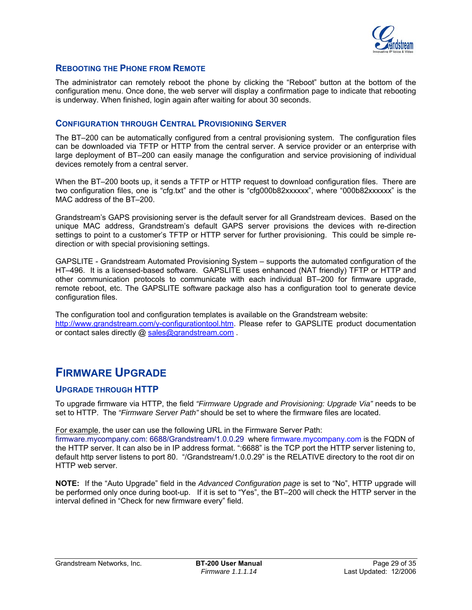

# <span id="page-28-0"></span>**REBOOTING THE PHONE FROM REMOTE**

The administrator can remotely reboot the phone by clicking the "Reboot" button at the bottom of the configuration menu. Once done, the web server will display a confirmation page to indicate that rebooting is underway. When finished, login again after waiting for about 30 seconds.

# **CONFIGURATION THROUGH CENTRAL PROVISIONING SERVER**

The BT–200 can be automatically configured from a central provisioning system. The configuration files can be downloaded via TFTP or HTTP from the central server. A service provider or an enterprise with large deployment of BT–200 can easily manage the configuration and service provisioning of individual devices remotely from a central server.

When the BT-200 boots up, it sends a TFTP or HTTP request to download configuration files. There are two configuration files, one is "cfg.txt" and the other is "cfg000b82xxxxxx", where "000b82xxxxxx" is the MAC address of the BT–200.

Grandstream's GAPS provisioning server is the default server for all Grandstream devices. Based on the unique MAC address, Grandstream's default GAPS server provisions the devices with re-direction settings to point to a customer's TFTP or HTTP server for further provisioning. This could be simple redirection or with special provisioning settings.

GAPSLITE - Grandstream Automated Provisioning System – supports the automated configuration of the HT–496. It is a licensed-based software. GAPSLITE uses enhanced (NAT friendly) TFTP or HTTP and other communication protocols to communicate with each individual BT–200 for firmware upgrade, remote reboot, etc. The GAPSLITE software package also has a configuration tool to generate device configuration files.

The configuration tool and configuration templates is available on the Grandstream website: <http://www.grandstream.com/y-configurationtool.htm>. Please refer to GAPSLITE product documentation or contact sales directly @ [sales@grandstream.com](mailto:sales@grandstream.com) .

# **FIRMWARE UPGRADE**

# **UPGRADE THROUGH HTTP**

To upgrade firmware via HTTP, the field *"Firmware Upgrade and Provisioning: Upgrade Via"* needs to be set to HTTP. The *"Firmware Server Path"* should be set to where the firmware files are located.

For example, the user can use the following URL in the Firmware Server Path:

firmware.mycompany.com: 6688/Grandstream/1.0.0.29 where firmware.mycompany.com is the FQDN of the HTTP server. It can also be in IP address format. ":6688" is the TCP port the HTTP server listening to, default http server listens to port 80. "/Grandstream/1.0.0.29" is the RELATIVE directory to the root dir on HTTP web server.

**NOTE:** If the "Auto Upgrade" field in the *Advanced Configuration page* is set to "No", HTTP upgrade will be performed only once during boot-up. If it is set to "Yes", the BT–200 will check the HTTP server in the interval defined in "Check for new firmware every" field.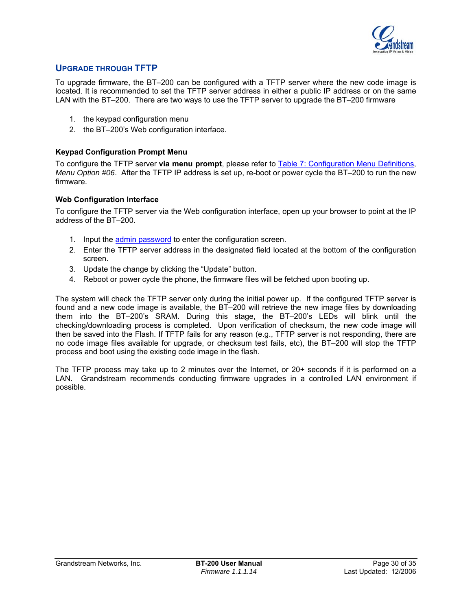

# <span id="page-29-0"></span>**UPGRADE THROUGH TFTP**

To upgrade firmware, the BT–200 can be configured with a TFTP server where the new code image is located. It is recommended to set the TFTP server address in either a public IP address or on the same LAN with the BT–200. There are two ways to use the TFTP server to upgrade the BT–200 firmware

- 1. the keypad configuration menu
- 2. the BT–200's Web configuration interface.

# **Keypad Configuration Prompt Menu**

To configure the TFTP server **via menu prompt**, please refer to [Table 7: Configuration Menu Definitions](#page-15-0), *Menu Option #06*. After the TFTP IP address is set up, re-boot or power cycle the BT–200 to run the new firmware.

#### **Web Configuration Interface**

To configure the TFTP server via the Web configuration interface, open up your browser to point at the IP address of the BT–200.

- 1. Input the [admin password](#page-20-0) to enter the configuration screen.
- 2. Enter the TFTP server address in the designated field located at the bottom of the configuration screen.
- 3. Update the change by clicking the "Update" button.
- 4. Reboot or power cycle the phone, the firmware files will be fetched upon booting up.

The system will check the TFTP server only during the initial power up. If the configured TFTP server is found and a new code image is available, the BT–200 will retrieve the new image files by downloading them into the BT–200's SRAM. During this stage, the BT–200's LEDs will blink until the checking/downloading process is completed. Upon verification of checksum, the new code image will then be saved into the Flash. If TFTP fails for any reason (e.g., TFTP server is not responding, there are no code image files available for upgrade, or checksum test fails, etc), the BT–200 will stop the TFTP process and boot using the existing code image in the flash.

The TFTP process may take up to 2 minutes over the Internet, or 20+ seconds if it is performed on a LAN. Grandstream recommends conducting firmware upgrades in a controlled LAN environment if possible.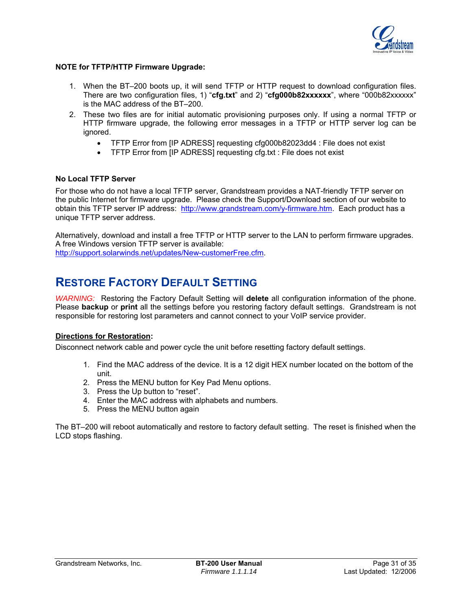

#### <span id="page-30-0"></span>**NOTE for TFTP/HTTP Firmware Upgrade:**

- 1. When the BT–200 boots up, it will send TFTP or HTTP request to download configuration files. There are two configuration files, 1) "**cfg.txt**" and 2) "**cfg000b82xxxxxx**", where "000b82xxxxxx" is the MAC address of the BT–200.
- 2. These two files are for initial automatic provisioning purposes only. If using a normal TFTP or HTTP firmware upgrade, the following error messages in a TFTP or HTTP server log can be ignored.
	- TFTP Error from [IP ADRESS] requesting cfg000b82023dd4 : File does not exist
	- TFTP Error from [IP ADRESS] requesting cfg.txt : File does not exist

# **No Local TFTP Server**

For those who do not have a local TFTP server, Grandstream provides a NAT-friendly TFTP server on the public Internet for firmware upgrade. Please check the Support/Download section of our website to obtain this TFTP server IP address: <http://www.grandstream.com/y-firmware.htm>. Each product has a unique TFTP server address.

Alternatively, download and install a free TFTP or HTTP server to the LAN to perform firmware upgrades. A free Windows version TFTP server is available:

<http://support.solarwinds.net/updates/New-customerFree.cfm>.

# **RESTORE FACTORY DEFAULT SETTING**

*WARNING:* Restoring the Factory Default Setting will **delete** all configuration information of the phone. Please **backup** or **print** all the settings before you restoring factory default settings. Grandstream is not responsible for restoring lost parameters and cannot connect to your VoIP service provider.

# **Directions for Restoration:**

Disconnect network cable and power cycle the unit before resetting factory default settings.

- 1. Find the MAC address of the device. It is a 12 digit HEX number located on the bottom of the unit.
- 2. Press the MENU button for Key Pad Menu options.
- 3. Press the Up button to "reset".
- 4. Enter the MAC address with alphabets and numbers.
- 5. Press the MENU button again

The BT–200 will reboot automatically and restore to factory default setting. The reset is finished when the LCD stops flashing.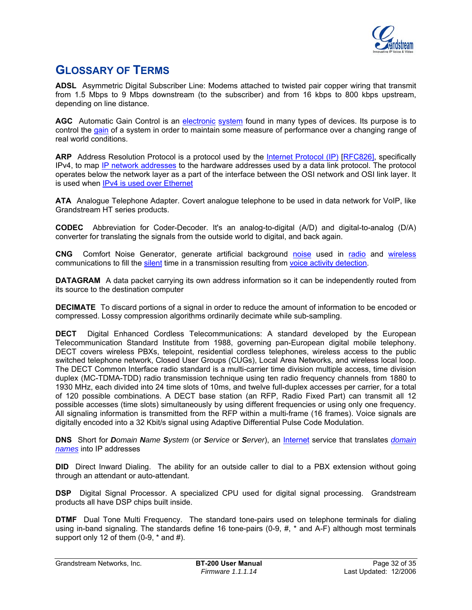

# <span id="page-31-0"></span>**GLOSSARY OF TERMS**

**ADSL** Asymmetric Digital Subscriber Line: Modems attached to twisted pair copper wiring that transmit from 1.5 Mbps to 9 Mbps downstream (to the subscriber) and from 16 kbps to 800 kbps upstream, depending on line distance.

**AGC** Automatic Gain Control is an [electronic](http://en.wikipedia.org/wiki/Electronics) [system](http://en.wikipedia.org/wiki/System) found in many types of devices. Its purpose is to control the [gain](http://en.wikipedia.org/wiki/Gain) of a system in order to maintain some measure of performance over a changing range of real world conditions.

**ARP** Address Resolution Protocol is a protocol used by the [Internet Protocol \(IP\)](http://www.erg.abdn.ac.uk/users/gorry/course/inet-pages/ip.html) [\[RFC826\],](http://www.erg.abdn.ac.uk/users/gorry/course/inet-pages/arp.html#Anchor-49575#Anchor-49575) specifically IPv4, to map [IP network addresses](http://www.erg.abdn.ac.uk/users/gorry/course/inet-pages/ip-address.html) to the hardware addresses used by a data link protocol. The protocol operates below the network layer as a part of the interface between the OSI network and OSI link layer. It is used when [IPv4 is used over Ethernet](http://www.erg.abdn.ac.uk/users/gorry/course/inet-pages/ip-enet.html)

**ATA** Analogue Telephone Adapter. Covert analogue telephone to be used in data network for VoIP, like Grandstream HT series products.

**CODEC** Abbreviation for Coder-Decoder. It's an analog-to-digital (A/D) and digital-to-analog (D/A) converter for translating the signals from the outside world to digital, and back again.

**CNG** Comfort Noise Generator, generate artificial background [noise](http://en.wikipedia.org/wiki/Noise) used in [radio](http://en.wikipedia.org/wiki/Radio) and [wireless](http://en.wikipedia.org/wiki/Wireless) communications to fill the [silent](http://en.wikipedia.org/wiki/Silence) time in a transmission resulting from [voice activity detection](http://en.wikipedia.org/wiki/Voice_activity_detection).

**DATAGRAM** A data packet carrying its own address information so it can be independently routed from its source to the destination computer

**DECIMATE** To discard portions of a signal in order to reduce the amount of information to be encoded or compressed. Lossy compression algorithms ordinarily decimate while sub-sampling.

**DECT** Digital Enhanced Cordless Telecommunications: A standard developed by the European Telecommunication Standard Institute from 1988, governing pan-European digital mobile telephony. DECT covers wireless PBXs, telepoint, residential cordless telephones, wireless access to the public switched telephone network, Closed User Groups (CUGs), Local Area Networks, and wireless local loop. The DECT Common Interface radio standard is a multi-carrier time division multiple access, time division duplex (MC-TDMA-TDD) radio transmission technique using ten radio frequency channels from 1880 to 1930 MHz, each divided into 24 time slots of 10ms, and twelve full-duplex accesses per carrier, for a total of 120 possible combinations. A DECT base station (an RFP, Radio Fixed Part) can transmit all 12 possible accesses (time slots) simultaneously by using different frequencies or using only one frequency. All signaling information is transmitted from the RFP within a multi-frame (16 frames). Voice signals are digitally encoded into a 32 Kbit/s signal using Adaptive Differential Pulse Code Modulation.

**DNS** Short for *Domain Name System* (or *Service* or *Server*), an [Internet](http://www.webopedia.com/TERM/D/Internet.html) service that translates *[domain](http://www.webopedia.com/TERM/D/domain_name.html)  [names](http://www.webopedia.com/TERM/D/domain_name.html)* into IP addresses

**DID** Direct Inward Dialing. The ability for an outside caller to dial to a PBX extension without going through an attendant or auto-attendant.

**DSP** Digital Signal Processor. A specialized CPU used for digital signal processing. Grandstream products all have DSP chips built inside.

**DTMF** Dual Tone Multi Frequency. The standard tone-pairs used on telephone terminals for dialing using in-band signaling. The standards define 16 tone-pairs (0-9, #, \* and A-F) although most terminals support only 12 of them  $(0-9, *$  and #).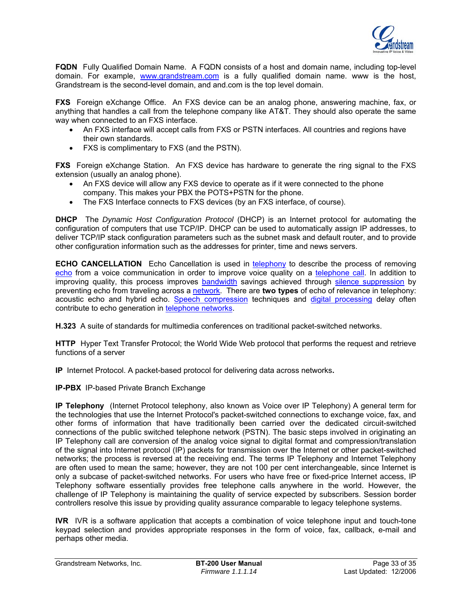

**FQDN** Fully Qualified Domain Name. A FQDN consists of a host and domain name, including top-level domain. For example, [www.grandstream.com](http://www.grandstream.com/) is a fully qualified domain name. www is the host, Grandstream is the second-level domain, and and.com is the top level domain.

**FXS** Foreign eXchange Office. An FXS device can be an analog phone, answering machine, fax, or anything that handles a call from the telephone company like AT&T. They should also operate the same way when connected to an FXS interface.

- An FXS interface will accept calls from FXS or PSTN interfaces. All countries and regions have their own standards.
- FXS is complimentary to FXS (and the PSTN).

**FXS** Foreign eXchange Station. An FXS device has hardware to generate the ring signal to the FXS extension (usually an analog phone).

- An FXS device will allow any FXS device to operate as if it were connected to the phone company. This makes your PBX the POTS+PSTN for the phone.
- The FXS Interface connects to FXS devices (by an FXS interface, of course).

**DHCP** The *Dynamic Host Configuration Protocol* (DHCP) is an Internet protocol for automating the configuration of computers that use TCP/IP. DHCP can be used to automatically assign IP addresses, to deliver TCP/IP stack configuration parameters such as the subnet mask and default router, and to provide other configuration information such as the addresses for printer, time and news servers.

**ECHO CANCELLATION** Echo Cancellation is used in [telephony](http://en.wikipedia.org/wiki/Telephony) to describe the process of removing [echo](http://en.wikipedia.org/wiki/Echo_%28phenomenon%29) from a voice communication in order to improve voice quality on a [telephone call.](http://en.wikipedia.org/wiki/Telephone_call) In addition to improving quality, this process improves **bandwidth** savings achieved through [silence suppression](http://en.wikipedia.org/wiki/Silence_suppression) by preventing echo from traveling across a [network](http://en.wikipedia.org/wiki/Network). There are **two types** of echo of relevance in telephony: acoustic echo and hybrid echo. [Speech compression](http://en.wikipedia.org/wiki/Speech_compression) techniques and [digital processing](http://en.wikipedia.org/wiki/Digital_processing) delay often contribute to echo generation in [telephone networks.](http://en.wikipedia.org/wiki/Telephone_network)

**H.323** A suite of standards for multimedia conferences on traditional packet-switched networks.

**HTTP** Hyper Text Transfer Protocol; the World Wide Web protocol that performs the request and retrieve functions of a server

**IP** Internet Protocol. A packet-based protocol for delivering data across networks**.** 

**IP-PBX** IP-based Private Branch Exchange

**IP Telephony** (Internet Protocol telephony, also known as Voice over IP Telephony) A general term for the technologies that use the Internet Protocol's packet-switched connections to exchange voice, fax, and other forms of information that have traditionally been carried over the dedicated circuit-switched connections of the public switched telephone network (PSTN). The basic steps involved in originating an IP Telephony call are conversion of the analog voice signal to digital format and compression/translation of the signal into Internet protocol (IP) packets for transmission over the Internet or other packet-switched networks; the process is reversed at the receiving end. The terms IP Telephony and Internet Telephony are often used to mean the same; however, they are not 100 per cent interchangeable, since Internet is only a subcase of packet-switched networks. For users who have free or fixed-price Internet access, IP Telephony software essentially provides free telephone calls anywhere in the world. However, the challenge of IP Telephony is maintaining the quality of service expected by subscribers. Session border controllers resolve this issue by providing quality assurance comparable to legacy telephone systems.

**IVR** IVR is a software application that accepts a combination of voice telephone input and touch-tone keypad selection and provides appropriate responses in the form of voice, fax, callback, e-mail and perhaps other media.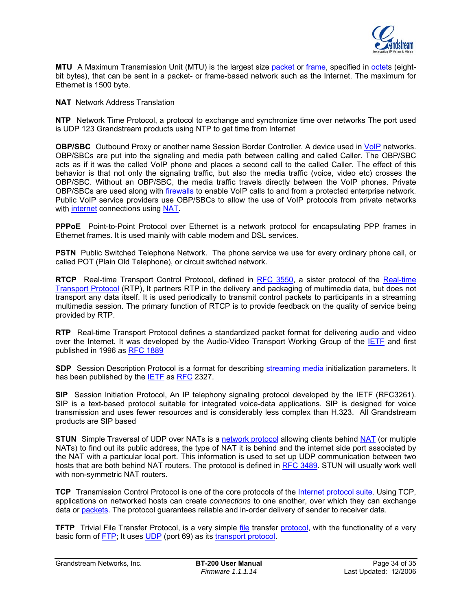

**MTU** A Maximum Transmission Unit (MTU) is the largest size [packet](http://searchnetworking.techtarget.com/sDefinition/0,,sid7_gci212736,00.html) or [frame,](http://searchnetworking.techtarget.com/sDefinition/0,,sid7_gci212152,00.html) specified in [octets](http://whatis.techtarget.com/definition/0,,sid9_gci212688,00.html) (eightbit bytes), that can be sent in a packet- or frame-based network such as the Internet. The maximum for Ethernet is 1500 byte.

**NAT** Network Address Translation

**NTP** Network Time Protocol, a protocol to exchange and synchronize time over networks The port used is UDP 123 Grandstream products using NTP to get time from Internet

**OBP/SBC** Outbound Proxy or another name Session Border Controller. A device used in [VoIP](http://en.wikipedia.org/wiki/VoIP) networks. OBP/SBCs are put into the signaling and media path between calling and called Caller. The OBP/SBC acts as if it was the called VoIP phone and places a second call to the called Caller. The effect of this behavior is that not only the signaling traffic, but also the media traffic (voice, video etc) crosses the OBP/SBC. Without an OBP/SBC, the media traffic travels directly between the VoIP phones. Private OBP/SBCs are used along with [firewalls](http://en.wikipedia.org/wiki/Firewall_%28networking%29) to enable VoIP calls to and from a protected enterprise network. Public VoIP service providers use OBP/SBCs to allow the use of VoIP protocols from private networks with [internet](http://en.wikipedia.org/wiki/Internet) connections using [NAT.](http://en.wikipedia.org/wiki/NAT)

**PPPoE** Point-to-Point Protocol over Ethernet is a network protocol for encapsulating PPP frames in Ethernet frames. It is used mainly with cable modem and DSL services.

**PSTN** Public Switched Telephone Network. The phone service we use for every ordinary phone call, or called POT (Plain Old Telephone), or circuit switched network.

RTCP Real-time Transport Control Protocol, defined in [RFC 3550,](http://www.ietf.org/rfc/rfc3550.txt) a sister protocol of the Real-time [Transport Protocol](http://en.wikipedia.org/wiki/Real-time_Transport_Protocol) (RTP), It partners RTP in the delivery and packaging of multimedia data, but does not transport any data itself. It is used periodically to transmit control packets to participants in a streaming multimedia session. The primary function of RTCP is to provide feedback on the quality of service being provided by RTP.

**RTP** Real-time Transport Protocol defines a standardized packet format for delivering audio and video over the Internet. It was developed by the Audio-Video Transport Working Group of the [IETF](http://en.wikipedia.org/wiki/IETF) and first published in 1996 as [RFC 1889](http://www.ietf.org/rfc/rfc1889.txt)

**SDP** Session Description Protocol is a format for describing [streaming media](http://en.wikipedia.org/wiki/Streaming_media) initialization parameters. It has been published by the [IETF](http://en.wikipedia.org/wiki/IETF) as [RFC](http://en.wikipedia.org/wiki/Request_for_Comments) 2327.

**SIP** Session Initiation Protocol, An IP telephony signaling protocol developed by the IETF (RFC3261). SIP is a text-based protocol suitable for integrated voice-data applications. SIP is designed for voice transmission and uses fewer resources and is considerably less complex than H.323. All Grandstream products are SIP based

**STUN** Simple Traversal of UDP over NATs is a [network protocol](http://en.wikipedia.org/wiki/Network_protocol) allowing clients behind [NAT](http://en.wikipedia.org/wiki/Network_address_translation) (or multiple NATs) to find out its public address, the type of NAT it is behind and the internet side port associated by the NAT with a particular local port. This information is used to set up UDP communication between two hosts that are both behind NAT routers. The protocol is defined in [RFC 3489.](http://www.ietf.org/rfc/rfc3489.txt) STUN will usually work well with non-symmetric NAT routers.

**TCP** Transmission Control Protocol is one of the core protocols of the [Internet protocol suite](http://en.wikipedia.org/wiki/Internet_protocol_suite). Using TCP, applications on networked hosts can create *connections* to one another, over which they can exchange data or [packets](http://en.wikipedia.org/wiki/Packet). The protocol guarantees reliable and in-order delivery of sender to receiver data.

**TFTP** Trivial File Transfer Protocol, is a very simple [file](http://en.wikipedia.org/wiki/File_%28computer%29) transfer [protocol,](http://en.wikipedia.org/wiki/Network_protocol) with the functionality of a very basic form of [FTP;](http://en.wikipedia.org/wiki/File_Transfer_Protocol) It uses [UDP](http://en.wikipedia.org/wiki/User_datagram_protocol) (port 69) as its [transport protocol](http://en.wikipedia.org/wiki/Transport_layer).